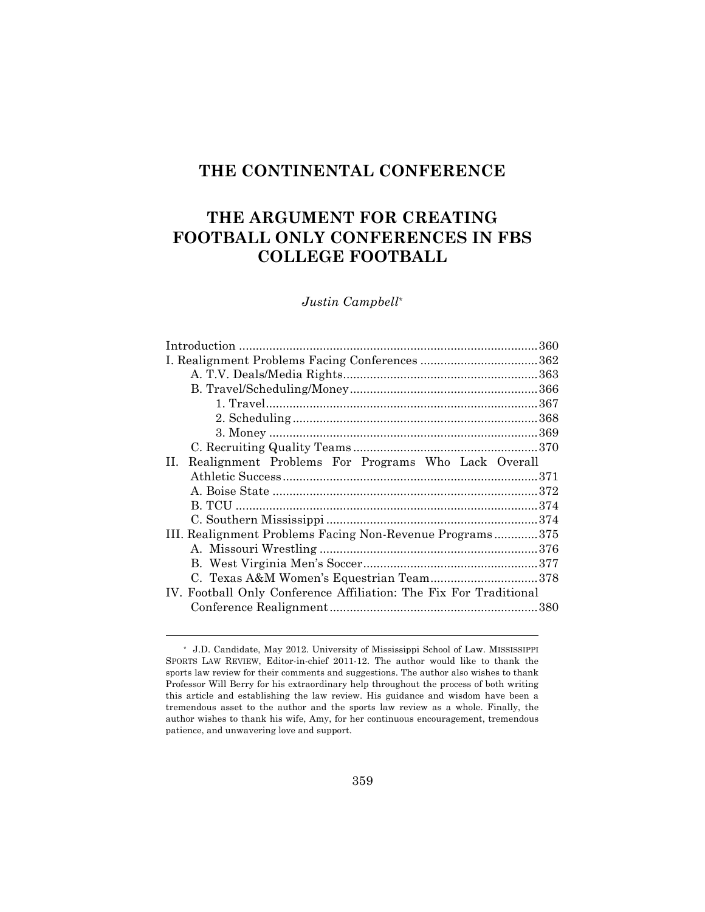# **THE CONTINENTAL CONFERENCE**

# **THE ARGUMENT FOR CREATING FOOTBALL ONLY CONFERENCES IN FBS COLLEGE FOOTBALL**

*Justin Campbell\**

| Realignment Problems For Programs Who Lack Overall<br>H.          |  |
|-------------------------------------------------------------------|--|
|                                                                   |  |
|                                                                   |  |
|                                                                   |  |
|                                                                   |  |
| III. Realignment Problems Facing Non-Revenue Programs375          |  |
|                                                                   |  |
|                                                                   |  |
|                                                                   |  |
| IV. Football Only Conference Affiliation: The Fix For Traditional |  |
|                                                                   |  |
|                                                                   |  |

<sup>\*</sup> J.D. Candidate, May 2012. University of Mississippi School of Law. MISSISSIPPI SPORTS LAW REVIEW, Editor-in-chief 2011-12. The author would like to thank the sports law review for their comments and suggestions. The author also wishes to thank Professor Will Berry for his extraordinary help throughout the process of both writing this article and establishing the law review. His guidance and wisdom have been a tremendous asset to the author and the sports law review as a whole. Finally, the author wishes to thank his wife, Amy, for her continuous encouragement, tremendous patience, and unwavering love and support.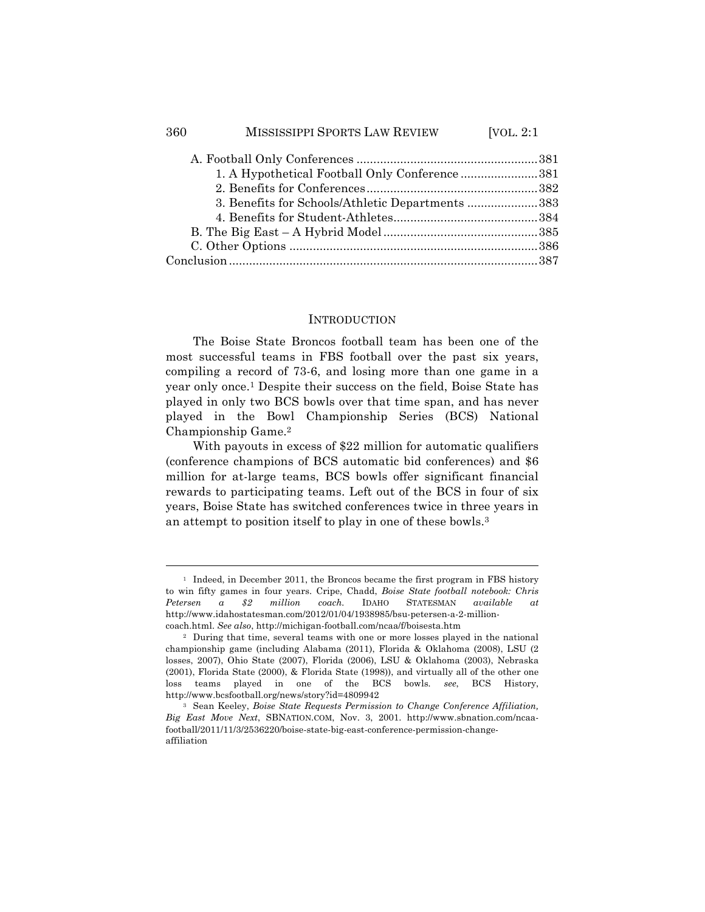| 360 | MISSISSIPPI SPORTS LAW REVIEW                    | [VOL. 2:1] |
|-----|--------------------------------------------------|------------|
|     |                                                  |            |
|     | 1. A Hypothetical Football Only Conference381    |            |
|     |                                                  |            |
|     | 3. Benefits for Schools/Athletic Departments 383 |            |
|     |                                                  |            |
|     |                                                  |            |
|     |                                                  |            |
|     |                                                  |            |

#### INTRODUCTION

The Boise State Broncos football team has been one of the most successful teams in FBS football over the past six years, compiling a record of 73-6, and losing more than one game in a year only once.1 Despite their success on the field, Boise State has played in only two BCS bowls over that time span, and has never played in the Bowl Championship Series (BCS) National Championship Game.2

With payouts in excess of \$22 million for automatic qualifiers (conference champions of BCS automatic bid conferences) and \$6 million for at-large teams, BCS bowls offer significant financial rewards to participating teams. Left out of the BCS in four of six years, Boise State has switched conferences twice in three years in an attempt to position itself to play in one of these bowls.3

<sup>&</sup>lt;sup>1</sup> Indeed, in December 2011, the Broncos became the first program in FBS history to win fifty games in four years. Cripe, Chadd, *Boise State football notebook: Chris Petersen a \$2 million coach.* IDAHO STATESMAN *available at* http://www.idahostatesman.com/2012/01/04/1938985/bsu-petersen-a-2-millioncoach.html. *See also*, http://michigan-football.com/ncaa/f/boisesta.htm

<sup>2</sup> During that time, several teams with one or more losses played in the national championship game (including Alabama (2011), Florida & Oklahoma (2008), LSU (2 losses, 2007), Ohio State (2007), Florida (2006), LSU & Oklahoma (2003), Nebraska (2001), Florida State (2000), & Florida State (1998)), and virtually all of the other one loss teams played in one of the BCS bowls*. see*, BCS History, http://www.bcsfootball.org/news/story?id=4809942

<sup>3</sup> Sean Keeley, *Boise State Requests Permission to Change Conference Affiliation, Big East Move Next*, SBNATION.COM, Nov. 3, 2001. http://www.sbnation.com/ncaafootball/2011/11/3/2536220/boise-state-big-east-conference-permission-changeaffiliation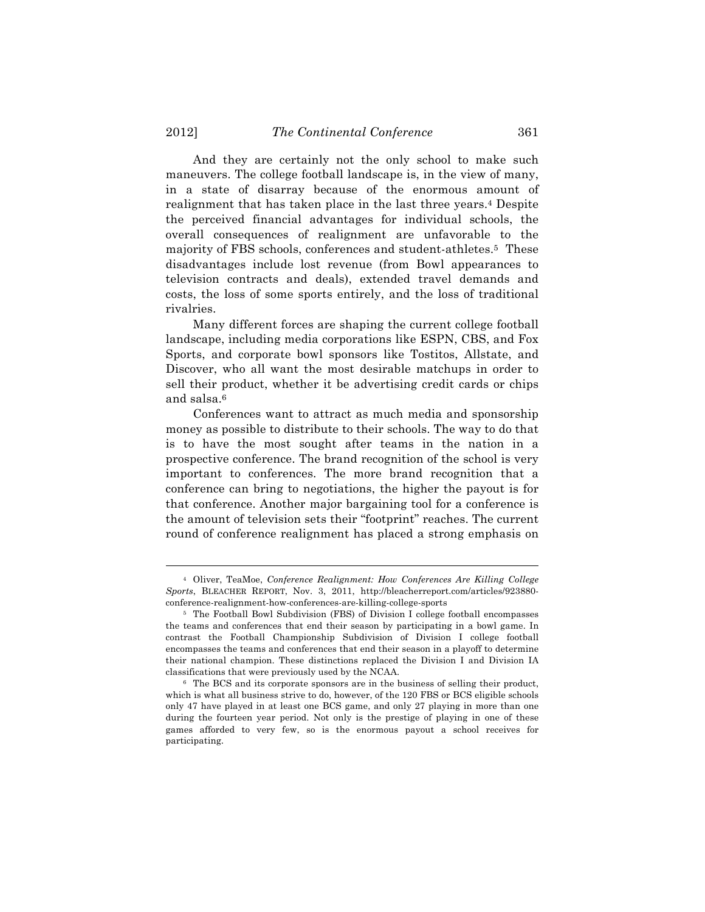$\overline{a}$ 

And they are certainly not the only school to make such maneuvers. The college football landscape is, in the view of many, in a state of disarray because of the enormous amount of realignment that has taken place in the last three years.<sup>4</sup> Despite the perceived financial advantages for individual schools, the overall consequences of realignment are unfavorable to the majority of FBS schools, conferences and student-athletes.5 These disadvantages include lost revenue (from Bowl appearances to television contracts and deals), extended travel demands and costs, the loss of some sports entirely, and the loss of traditional rivalries.

Many different forces are shaping the current college football landscape, including media corporations like ESPN, CBS, and Fox Sports, and corporate bowl sponsors like Tostitos, Allstate, and Discover, who all want the most desirable matchups in order to sell their product, whether it be advertising credit cards or chips and salsa.6

Conferences want to attract as much media and sponsorship money as possible to distribute to their schools. The way to do that is to have the most sought after teams in the nation in a prospective conference. The brand recognition of the school is very important to conferences. The more brand recognition that a conference can bring to negotiations, the higher the payout is for that conference. Another major bargaining tool for a conference is the amount of television sets their "footprint" reaches. The current round of conference realignment has placed a strong emphasis on

<sup>4</sup> Oliver, TeaMoe, *Conference Realignment: How Conferences Are Killing College Sports*, BLEACHER REPORT, Nov. 3, 2011, http://bleacherreport.com/articles/923880 conference-realignment-how-conferences-are-killing-college-sports

<sup>5</sup> The Football Bowl Subdivision (FBS) of Division I college football encompasses the teams and conferences that end their season by participating in a bowl game. In contrast the Football Championship Subdivision of Division I college football encompasses the teams and conferences that end their season in a playoff to determine their national champion. These distinctions replaced the Division I and Division IA classifications that were previously used by the NCAA.

<sup>6</sup> The BCS and its corporate sponsors are in the business of selling their product, which is what all business strive to do, however, of the 120 FBS or BCS eligible schools only 47 have played in at least one BCS game, and only 27 playing in more than one during the fourteen year period. Not only is the prestige of playing in one of these games afforded to very few, so is the enormous payout a school receives for participating.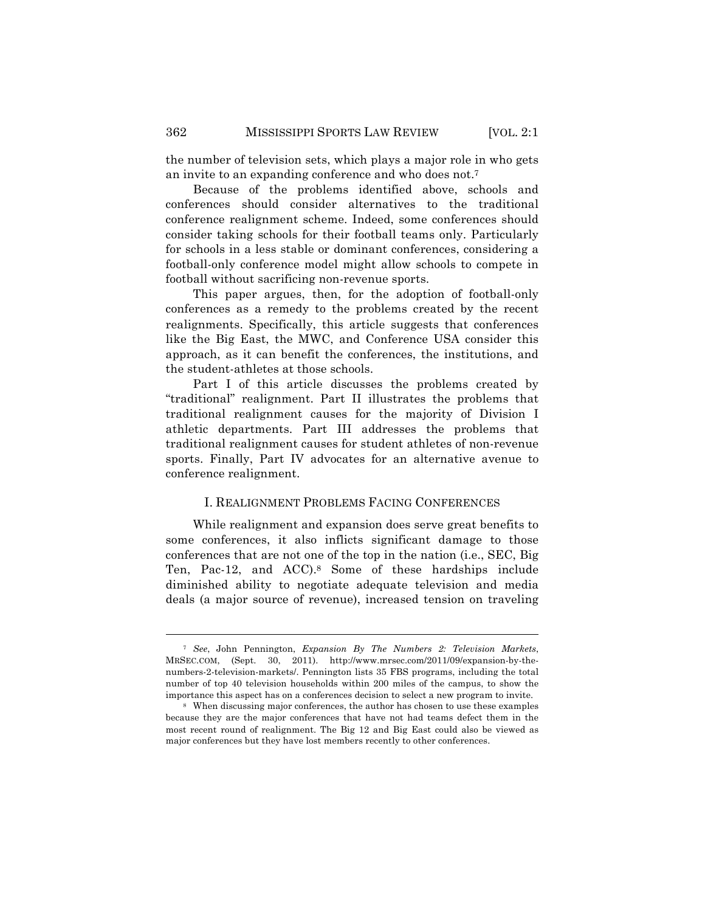the number of television sets, which plays a major role in who gets an invite to an expanding conference and who does not.7

Because of the problems identified above, schools and conferences should consider alternatives to the traditional conference realignment scheme. Indeed, some conferences should consider taking schools for their football teams only. Particularly for schools in a less stable or dominant conferences, considering a football-only conference model might allow schools to compete in football without sacrificing non-revenue sports.

This paper argues, then, for the adoption of football-only conferences as a remedy to the problems created by the recent realignments. Specifically, this article suggests that conferences like the Big East, the MWC, and Conference USA consider this approach, as it can benefit the conferences, the institutions, and the student-athletes at those schools.

Part I of this article discusses the problems created by "traditional" realignment. Part II illustrates the problems that traditional realignment causes for the majority of Division I athletic departments. Part III addresses the problems that traditional realignment causes for student athletes of non-revenue sports. Finally, Part IV advocates for an alternative avenue to conference realignment.

### I. REALIGNMENT PROBLEMS FACING CONFERENCES

While realignment and expansion does serve great benefits to some conferences, it also inflicts significant damage to those conferences that are not one of the top in the nation (i.e., SEC, Big Ten, Pac-12, and ACC).8 Some of these hardships include diminished ability to negotiate adequate television and media deals (a major source of revenue), increased tension on traveling

<sup>7</sup> *See*, John Pennington, *Expansion By The Numbers 2: Television Markets*, MRSEC.COM, (Sept. 30, 2011). http://www.mrsec.com/2011/09/expansion-by-thenumbers-2-television-markets/. Pennington lists 35 FBS programs, including the total number of top 40 television households within 200 miles of the campus, to show the importance this aspect has on a conferences decision to select a new program to invite.

<sup>8</sup> When discussing major conferences, the author has chosen to use these examples because they are the major conferences that have not had teams defect them in the most recent round of realignment. The Big 12 and Big East could also be viewed as major conferences but they have lost members recently to other conferences.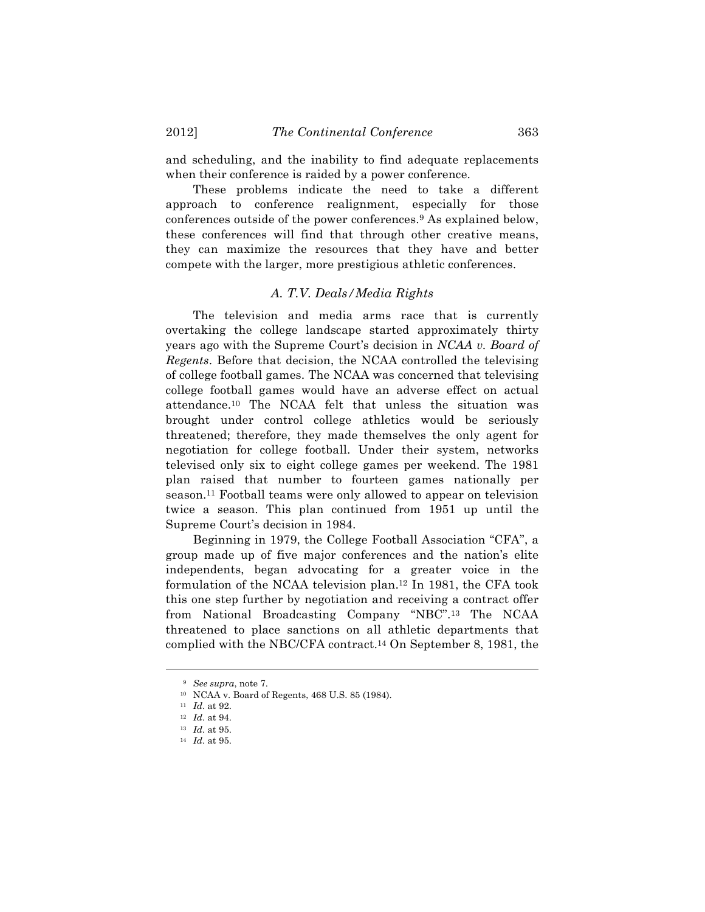and scheduling, and the inability to find adequate replacements when their conference is raided by a power conference.

These problems indicate the need to take a different approach to conference realignment, especially for those conferences outside of the power conferences.9 As explained below, these conferences will find that through other creative means, they can maximize the resources that they have and better compete with the larger, more prestigious athletic conferences.

#### *A. T.V. Deals/Media Rights*

The television and media arms race that is currently overtaking the college landscape started approximately thirty years ago with the Supreme Court's decision in *NCAA v. Board of Regents*. Before that decision, the NCAA controlled the televising of college football games. The NCAA was concerned that televising college football games would have an adverse effect on actual attendance.10 The NCAA felt that unless the situation was brought under control college athletics would be seriously threatened; therefore, they made themselves the only agent for negotiation for college football. Under their system, networks televised only six to eight college games per weekend. The 1981 plan raised that number to fourteen games nationally per season.11 Football teams were only allowed to appear on television twice a season. This plan continued from 1951 up until the Supreme Court's decision in 1984.

Beginning in 1979, the College Football Association "CFA", a group made up of five major conferences and the nation's elite independents, began advocating for a greater voice in the formulation of the NCAA television plan.12 In 1981, the CFA took this one step further by negotiation and receiving a contract offer from National Broadcasting Company "NBC".13 The NCAA threatened to place sanctions on all athletic departments that complied with the NBC/CFA contract.14 On September 8, 1981, the

<sup>9</sup> *See supra*, note 7.

<sup>10</sup> NCAA v. Board of Regents, 468 U.S. 85 (1984).

<sup>11</sup> *Id*. at 92.

<sup>12</sup> *Id*. at 94.

<sup>13</sup> *Id*. at 95.

<sup>14</sup> *Id*. at 95.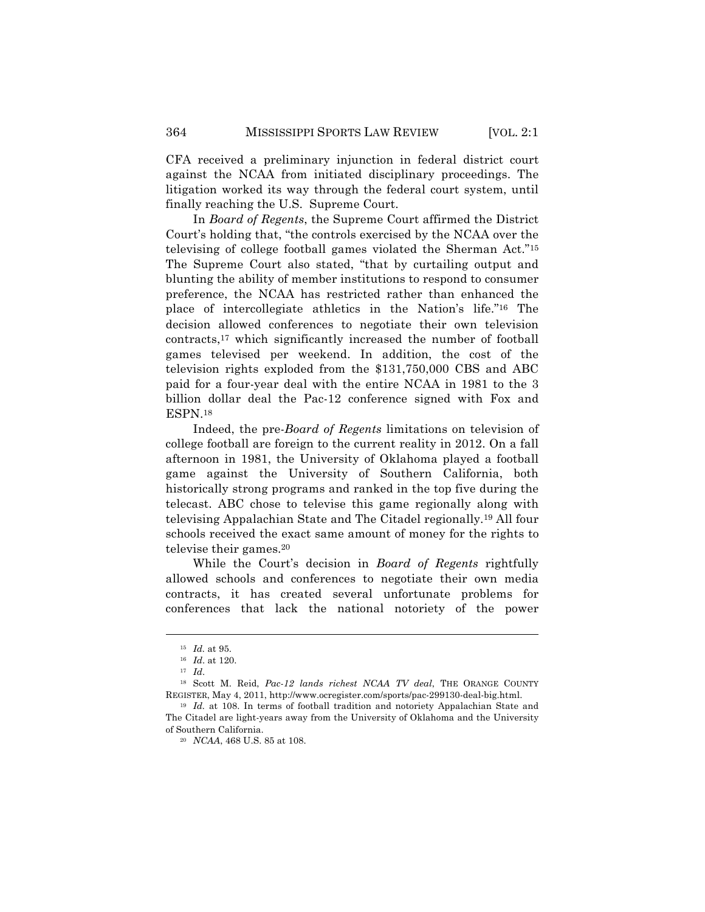CFA received a preliminary injunction in federal district court against the NCAA from initiated disciplinary proceedings. The litigation worked its way through the federal court system, until finally reaching the U.S. Supreme Court.

In *Board of Regents*, the Supreme Court affirmed the District Court's holding that, "the controls exercised by the NCAA over the televising of college football games violated the Sherman Act."15 The Supreme Court also stated, "that by curtailing output and blunting the ability of member institutions to respond to consumer preference, the NCAA has restricted rather than enhanced the place of intercollegiate athletics in the Nation's life."16 The decision allowed conferences to negotiate their own television contracts,17 which significantly increased the number of football games televised per weekend. In addition, the cost of the television rights exploded from the \$131,750,000 CBS and ABC paid for a four-year deal with the entire NCAA in 1981 to the 3 billion dollar deal the Pac-12 conference signed with Fox and ESPN.18

Indeed, the pre-*Board of Regents* limitations on television of college football are foreign to the current reality in 2012. On a fall afternoon in 1981, the University of Oklahoma played a football game against the University of Southern California, both historically strong programs and ranked in the top five during the telecast. ABC chose to televise this game regionally along with televising Appalachian State and The Citadel regionally.19 All four schools received the exact same amount of money for the rights to televise their games.20

While the Court's decision in *Board of Regents* rightfully allowed schools and conferences to negotiate their own media contracts, it has created several unfortunate problems for conferences that lack the national notoriety of the power

<sup>15</sup> *Id.* at 95.

<sup>16</sup> *Id*. at 120.

<sup>17</sup> *Id*.

<sup>18</sup> Scott M. Reid, *Pac-12 lands richest NCAA TV deal*, THE ORANGE COUNTY REGISTER, May 4, 2011, http://www.ocregister.com/sports/pac-299130-deal-big.html.

<sup>19</sup> *Id.* at 108. In terms of football tradition and notoriety Appalachian State and The Citadel are light-years away from the University of Oklahoma and the University of Southern California.

<sup>20</sup> *NCAA*, 468 U.S. 85 at 108.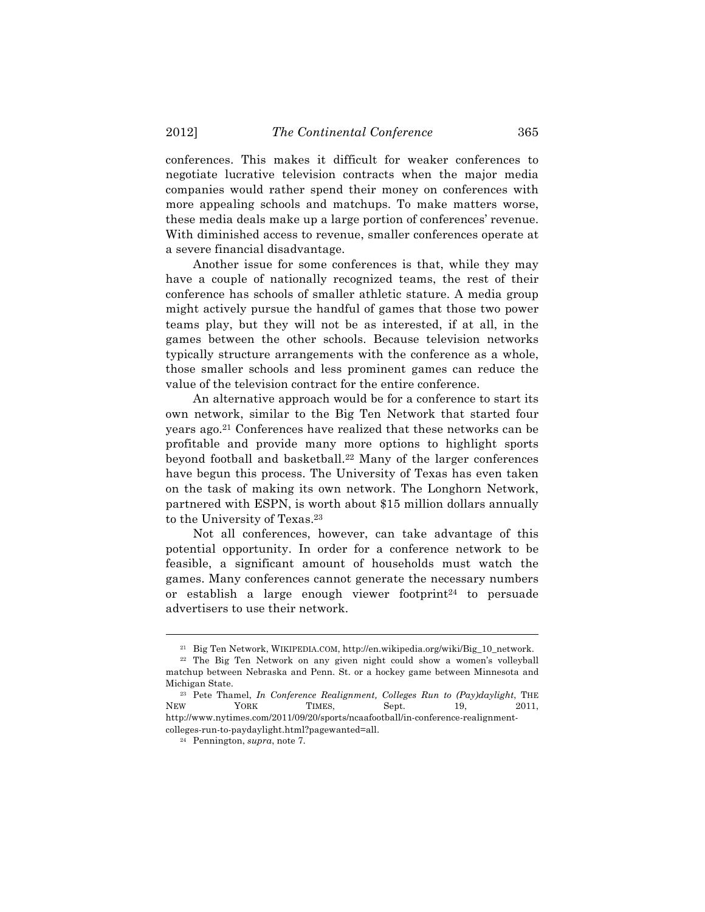conferences. This makes it difficult for weaker conferences to negotiate lucrative television contracts when the major media companies would rather spend their money on conferences with more appealing schools and matchups. To make matters worse, these media deals make up a large portion of conferences' revenue. With diminished access to revenue, smaller conferences operate at a severe financial disadvantage.

Another issue for some conferences is that, while they may have a couple of nationally recognized teams, the rest of their conference has schools of smaller athletic stature. A media group might actively pursue the handful of games that those two power teams play, but they will not be as interested, if at all, in the games between the other schools. Because television networks typically structure arrangements with the conference as a whole, those smaller schools and less prominent games can reduce the value of the television contract for the entire conference.

An alternative approach would be for a conference to start its own network, similar to the Big Ten Network that started four years ago.21 Conferences have realized that these networks can be profitable and provide many more options to highlight sports beyond football and basketball.22 Many of the larger conferences have begun this process. The University of Texas has even taken on the task of making its own network. The Longhorn Network, partnered with ESPN, is worth about \$15 million dollars annually to the University of Texas.23

Not all conferences, however, can take advantage of this potential opportunity. In order for a conference network to be feasible, a significant amount of households must watch the games. Many conferences cannot generate the necessary numbers or establish a large enough viewer footprint24 to persuade advertisers to use their network.

<sup>21</sup> Big Ten Network, WIKIPEDIA.COM, http://en.wikipedia.org/wiki/Big\_10\_network.

<sup>22</sup> The Big Ten Network on any given night could show a women's volleyball matchup between Nebraska and Penn. St. or a hockey game between Minnesota and Michigan State.

<sup>23</sup> Pete Thamel, *In Conference Realignment, Colleges Run to (Pay)daylight*, THE NEW YORK TIMES, Sept. 19, 2011, http://www.nytimes.com/2011/09/20/sports/ncaafootball/in-conference-realignmentcolleges-run-to-paydaylight.html?pagewanted=all.

<sup>24</sup> Pennington, *supra*, note 7.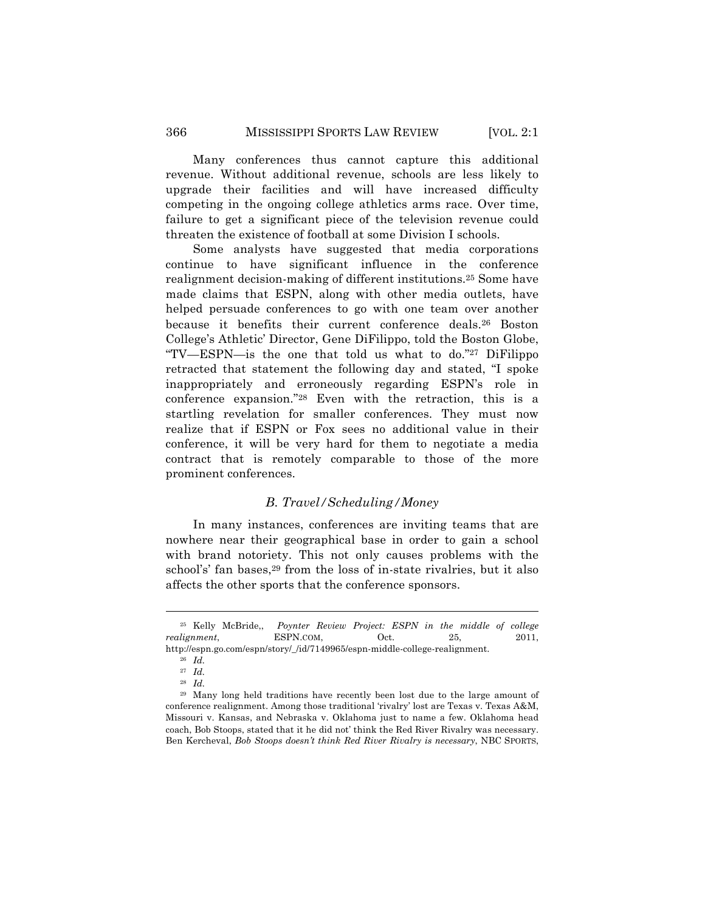Many conferences thus cannot capture this additional revenue. Without additional revenue, schools are less likely to upgrade their facilities and will have increased difficulty competing in the ongoing college athletics arms race. Over time, failure to get a significant piece of the television revenue could threaten the existence of football at some Division I schools.

Some analysts have suggested that media corporations continue to have significant influence in the conference realignment decision-making of different institutions.25 Some have made claims that ESPN, along with other media outlets, have helped persuade conferences to go with one team over another because it benefits their current conference deals.26 Boston College's Athletic' Director, Gene DiFilippo, told the Boston Globe, "TV—ESPN—is the one that told us what to do."27 DiFilippo retracted that statement the following day and stated, "I spoke inappropriately and erroneously regarding ESPN's role in conference expansion."28 Even with the retraction, this is a startling revelation for smaller conferences. They must now realize that if ESPN or Fox sees no additional value in their conference, it will be very hard for them to negotiate a media contract that is remotely comparable to those of the more prominent conferences.

### *B. Travel/Scheduling/Money*

In many instances, conferences are inviting teams that are nowhere near their geographical base in order to gain a school with brand notoriety. This not only causes problems with the school's' fan bases,<sup>29</sup> from the loss of in-state rivalries, but it also affects the other sports that the conference sponsors.

<sup>25</sup> Kelly McBride,, *Poynter Review Project: ESPN in the middle of college realignment*, ESPN.COM, Oct. 25, 2011,

http://espn.go.com/espn/story/\_/id/7149965/espn-middle-college-realignment.

<sup>26</sup> *Id.*

<sup>27</sup> *Id.*

<sup>28</sup> *Id.*

<sup>29</sup> Many long held traditions have recently been lost due to the large amount of conference realignment. Among those traditional 'rivalry' lost are Texas v. Texas A&M, Missouri v. Kansas, and Nebraska v. Oklahoma just to name a few. Oklahoma head coach, Bob Stoops, stated that it he did not' think the Red River Rivalry was necessary. Ben Kercheval, *Bob Stoops doesn't think Red River Rivalry is necessary*, NBC SPORTS,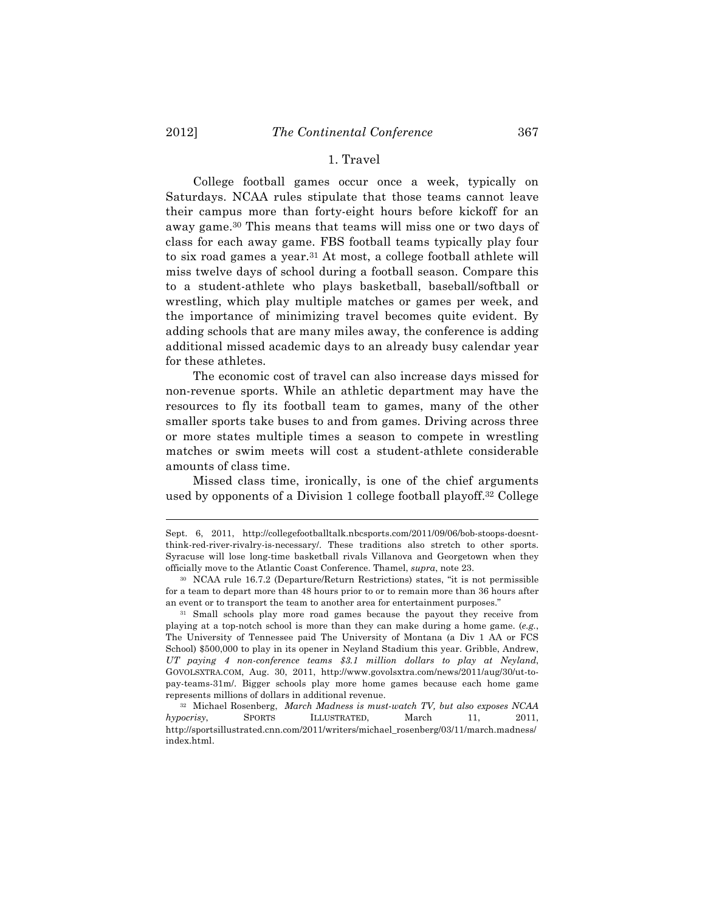## 1. Travel

College football games occur once a week, typically on Saturdays. NCAA rules stipulate that those teams cannot leave their campus more than forty-eight hours before kickoff for an away game.30 This means that teams will miss one or two days of class for each away game. FBS football teams typically play four to six road games a year.31 At most, a college football athlete will miss twelve days of school during a football season. Compare this to a student-athlete who plays basketball, baseball/softball or wrestling, which play multiple matches or games per week, and the importance of minimizing travel becomes quite evident. By adding schools that are many miles away, the conference is adding additional missed academic days to an already busy calendar year for these athletes.

The economic cost of travel can also increase days missed for non-revenue sports. While an athletic department may have the resources to fly its football team to games, many of the other smaller sports take buses to and from games. Driving across three or more states multiple times a season to compete in wrestling matches or swim meets will cost a student-athlete considerable amounts of class time.

Missed class time, ironically, is one of the chief arguments used by opponents of a Division 1 college football playoff.32 College

Sept. 6, 2011, http://collegefootballtalk.nbcsports.com/2011/09/06/bob-stoops-doesntthink-red-river-rivalry-is-necessary/. These traditions also stretch to other sports. Syracuse will lose long-time basketball rivals Villanova and Georgetown when they officially move to the Atlantic Coast Conference. Thamel, *supra*, note 23.

<sup>30</sup> NCAA rule 16.7.2 (Departure/Return Restrictions) states, "it is not permissible for a team to depart more than 48 hours prior to or to remain more than 36 hours after an event or to transport the team to another area for entertainment purposes."

<sup>&</sup>lt;sup>31</sup> Small schools play more road games because the payout they receive from playing at a top-notch school is more than they can make during a home game. (*e.g.*, The University of Tennessee paid The University of Montana (a Div 1 AA or FCS School) \$500,000 to play in its opener in Neyland Stadium this year. Gribble, Andrew, *UT paying 4 non-conference teams \$3.1 million dollars to play at Neyland*, GOVOLSXTRA.COM, Aug. 30, 2011, http://www.govolsxtra.com/news/2011/aug/30/ut-topay-teams-31m/. Bigger schools play more home games because each home game represents millions of dollars in additional revenue.

<sup>32</sup> Michael Rosenberg, *March Madness is must-watch TV, but also exposes NCAA hypocrisy*, SPORTS ILLUSTRATED, March 11, 2011, http://sportsillustrated.cnn.com/2011/writers/michael\_rosenberg/03/11/march.madness/ index.html.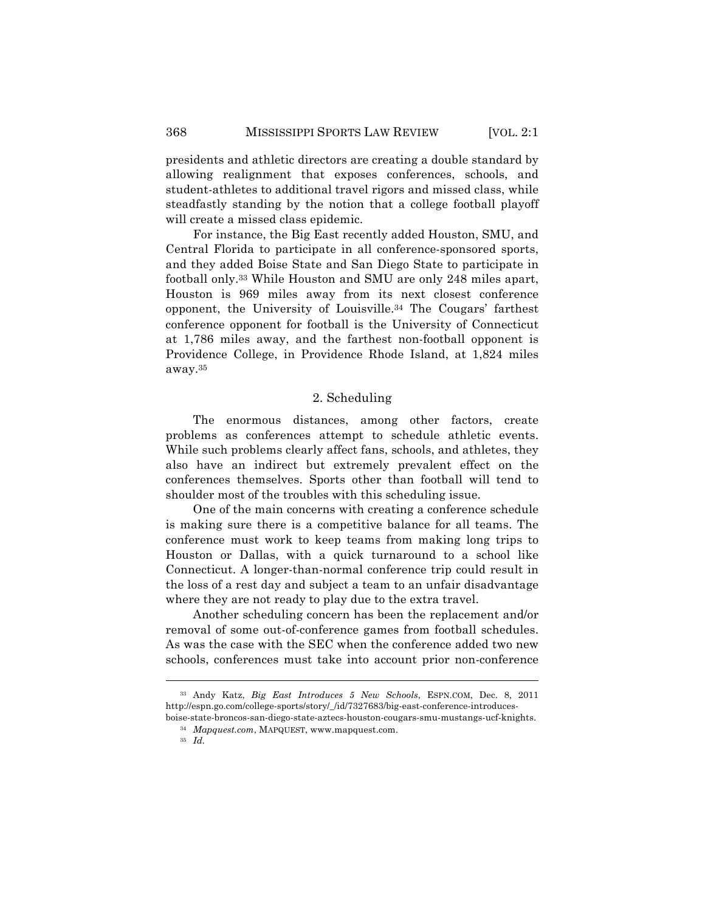presidents and athletic directors are creating a double standard by allowing realignment that exposes conferences, schools, and student-athletes to additional travel rigors and missed class, while steadfastly standing by the notion that a college football playoff will create a missed class epidemic.

For instance, the Big East recently added Houston, SMU, and Central Florida to participate in all conference-sponsored sports, and they added Boise State and San Diego State to participate in football only.33 While Houston and SMU are only 248 miles apart, Houston is 969 miles away from its next closest conference opponent, the University of Louisville.34 The Cougars' farthest conference opponent for football is the University of Connecticut at 1,786 miles away, and the farthest non-football opponent is Providence College, in Providence Rhode Island, at 1,824 miles away.35

# 2. Scheduling

The enormous distances, among other factors, create problems as conferences attempt to schedule athletic events. While such problems clearly affect fans, schools, and athletes, they also have an indirect but extremely prevalent effect on the conferences themselves. Sports other than football will tend to shoulder most of the troubles with this scheduling issue.

One of the main concerns with creating a conference schedule is making sure there is a competitive balance for all teams. The conference must work to keep teams from making long trips to Houston or Dallas, with a quick turnaround to a school like Connecticut. A longer-than-normal conference trip could result in the loss of a rest day and subject a team to an unfair disadvantage where they are not ready to play due to the extra travel.

Another scheduling concern has been the replacement and/or removal of some out-of-conference games from football schedules. As was the case with the SEC when the conference added two new schools, conferences must take into account prior non-conference

<sup>33</sup> Andy Katz, *Big East Introduces 5 New Schools*, ESPN.COM, Dec. 8, 2011 http://espn.go.com/college-sports/story/\_/id/7327683/big-east-conference-introduces-

boise-state-broncos-san-diego-state-aztecs-houston-cougars-smu-mustangs-ucf-knights.

<sup>34</sup> *Mapquest.com*, MAPQUEST, www.mapquest.com.

<sup>35</sup> *Id.*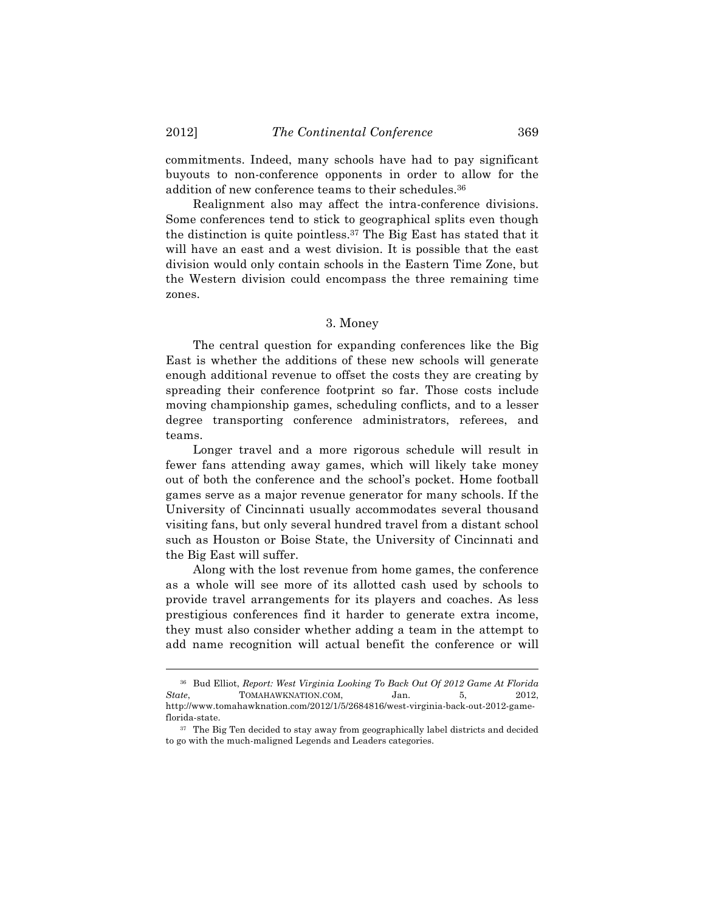commitments. Indeed, many schools have had to pay significant buyouts to non-conference opponents in order to allow for the addition of new conference teams to their schedules.36

Realignment also may affect the intra-conference divisions. Some conferences tend to stick to geographical splits even though the distinction is quite pointless.37 The Big East has stated that it will have an east and a west division. It is possible that the east division would only contain schools in the Eastern Time Zone, but the Western division could encompass the three remaining time zones.

### 3. Money

The central question for expanding conferences like the Big East is whether the additions of these new schools will generate enough additional revenue to offset the costs they are creating by spreading their conference footprint so far. Those costs include moving championship games, scheduling conflicts, and to a lesser degree transporting conference administrators, referees, and teams.

Longer travel and a more rigorous schedule will result in fewer fans attending away games, which will likely take money out of both the conference and the school's pocket. Home football games serve as a major revenue generator for many schools. If the University of Cincinnati usually accommodates several thousand visiting fans, but only several hundred travel from a distant school such as Houston or Boise State, the University of Cincinnati and the Big East will suffer.

Along with the lost revenue from home games, the conference as a whole will see more of its allotted cash used by schools to provide travel arrangements for its players and coaches. As less prestigious conferences find it harder to generate extra income, they must also consider whether adding a team in the attempt to add name recognition will actual benefit the conference or will

<sup>36</sup> Bud Elliot, *Report: West Virginia Looking To Back Out Of 2012 Game At Florida State*, TOMAHAWKNATION.COM, Jan. 5, 2012, http://www.tomahawknation.com/2012/1/5/2684816/west-virginia-back-out-2012-gameflorida-state.

<sup>&</sup>lt;sup>37</sup> The Big Ten decided to stay away from geographically label districts and decided to go with the much-maligned Legends and Leaders categories.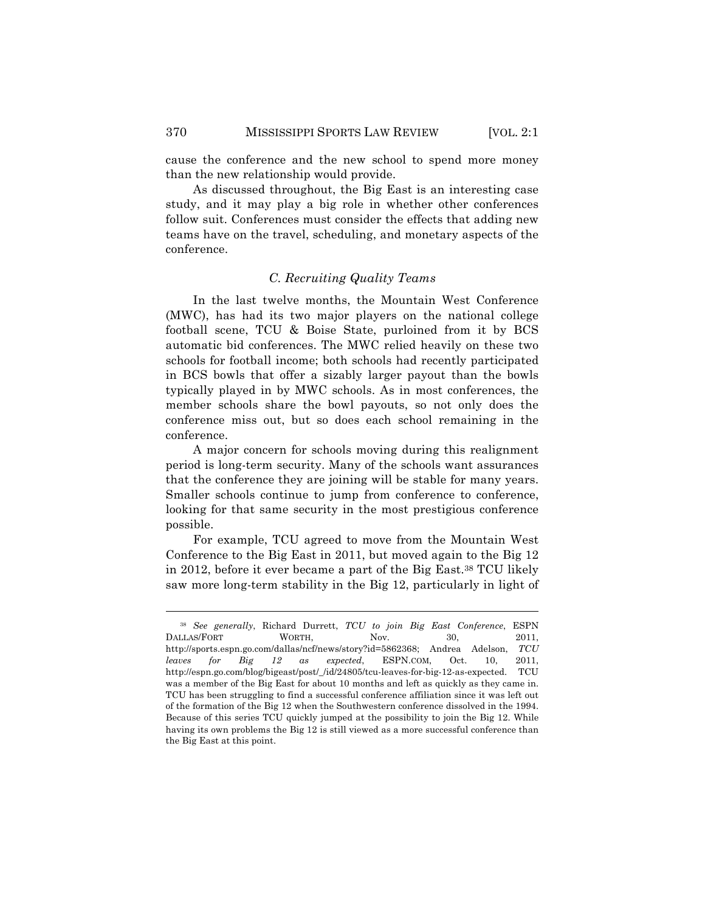cause the conference and the new school to spend more money than the new relationship would provide.

As discussed throughout, the Big East is an interesting case study, and it may play a big role in whether other conferences follow suit. Conferences must consider the effects that adding new teams have on the travel, scheduling, and monetary aspects of the conference.

# *C. Recruiting Quality Teams*

In the last twelve months, the Mountain West Conference (MWC), has had its two major players on the national college football scene, TCU & Boise State, purloined from it by BCS automatic bid conferences. The MWC relied heavily on these two schools for football income; both schools had recently participated in BCS bowls that offer a sizably larger payout than the bowls typically played in by MWC schools. As in most conferences, the member schools share the bowl payouts, so not only does the conference miss out, but so does each school remaining in the conference.

A major concern for schools moving during this realignment period is long-term security. Many of the schools want assurances that the conference they are joining will be stable for many years. Smaller schools continue to jump from conference to conference, looking for that same security in the most prestigious conference possible.

For example, TCU agreed to move from the Mountain West Conference to the Big East in 2011, but moved again to the Big 12 in 2012, before it ever became a part of the Big East.38 TCU likely saw more long-term stability in the Big 12, particularly in light of

<sup>38</sup> *See generally*, Richard Durrett, *TCU to join Big East Conference*, ESPN DALLAS/FORT WORTH, Nov. 30, 2011, http://sports.espn.go.com/dallas/ncf/news/story?id=5862368; Andrea Adelson, *TCU leaves for Big 12 as expected*, ESPN.COM, Oct. 10, 2011, http://espn.go.com/blog/bigeast/post/\_/id/24805/tcu-leaves-for-big-12-as-expected. TCU was a member of the Big East for about 10 months and left as quickly as they came in. TCU has been struggling to find a successful conference affiliation since it was left out of the formation of the Big 12 when the Southwestern conference dissolved in the 1994. Because of this series TCU quickly jumped at the possibility to join the Big 12. While having its own problems the Big 12 is still viewed as a more successful conference than the Big East at this point.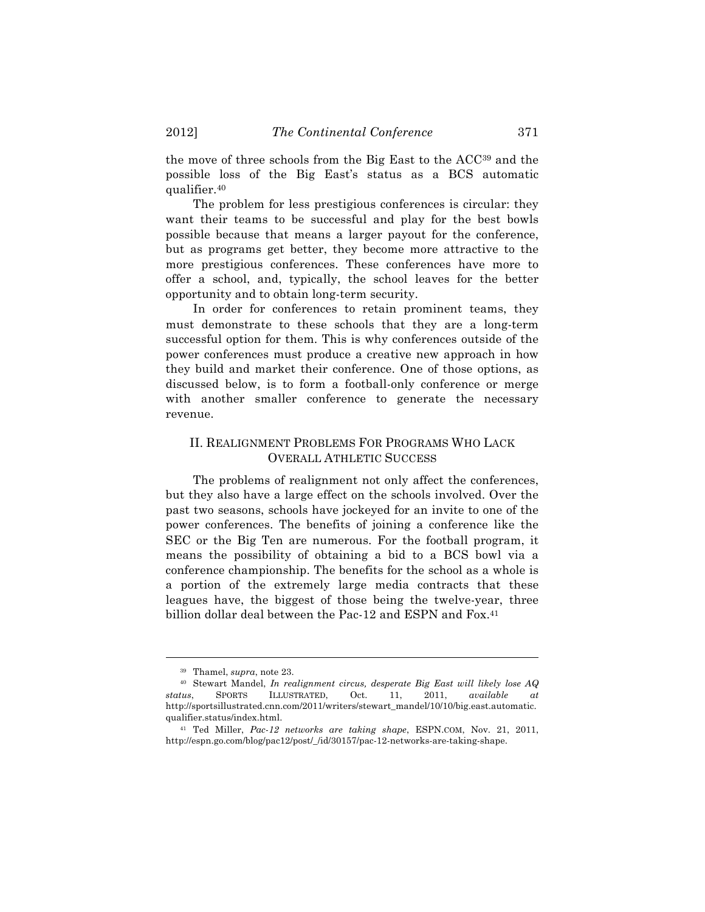the move of three schools from the Big East to the ACC39 and the possible loss of the Big East's status as a BCS automatic qualifier.40

The problem for less prestigious conferences is circular: they want their teams to be successful and play for the best bowls possible because that means a larger payout for the conference, but as programs get better, they become more attractive to the more prestigious conferences. These conferences have more to offer a school, and, typically, the school leaves for the better opportunity and to obtain long-term security.

In order for conferences to retain prominent teams, they must demonstrate to these schools that they are a long-term successful option for them. This is why conferences outside of the power conferences must produce a creative new approach in how they build and market their conference. One of those options, as discussed below, is to form a football-only conference or merge with another smaller conference to generate the necessary revenue.

# II. REALIGNMENT PROBLEMS FOR PROGRAMS WHO LACK OVERALL ATHLETIC SUCCESS

The problems of realignment not only affect the conferences, but they also have a large effect on the schools involved. Over the past two seasons, schools have jockeyed for an invite to one of the power conferences. The benefits of joining a conference like the SEC or the Big Ten are numerous. For the football program, it means the possibility of obtaining a bid to a BCS bowl via a conference championship. The benefits for the school as a whole is a portion of the extremely large media contracts that these leagues have, the biggest of those being the twelve-year, three billion dollar deal between the Pac-12 and ESPN and Fox.<sup>41</sup>

<sup>39</sup> Thamel, *supra*, note 23.

<sup>40</sup> Stewart Mandel, *In realignment circus, desperate Big East will likely lose AQ status*, SPORTS ILLUSTRATED, Oct. 11, 2011, *available at* http://sportsillustrated.cnn.com/2011/writers/stewart\_mandel/10/10/big.east.automatic. qualifier.status/index.html.

<sup>41</sup> Ted Miller, *Pac-12 networks are taking shape*, ESPN.COM, Nov. 21, 2011, http://espn.go.com/blog/pac12/post/\_/id/30157/pac-12-networks-are-taking-shape.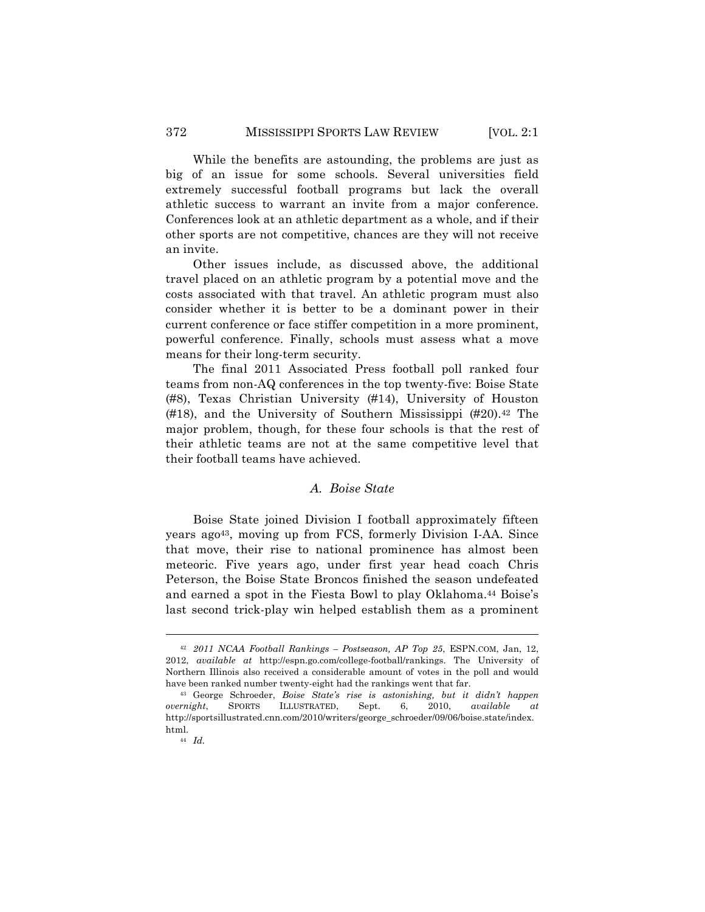While the benefits are astounding, the problems are just as big of an issue for some schools. Several universities field extremely successful football programs but lack the overall athletic success to warrant an invite from a major conference. Conferences look at an athletic department as a whole, and if their other sports are not competitive, chances are they will not receive an invite.

Other issues include, as discussed above, the additional travel placed on an athletic program by a potential move and the costs associated with that travel. An athletic program must also consider whether it is better to be a dominant power in their current conference or face stiffer competition in a more prominent, powerful conference. Finally, schools must assess what a move means for their long-term security.

The final 2011 Associated Press football poll ranked four teams from non-AQ conferences in the top twenty-five: Boise State (#8), Texas Christian University (#14), University of Houston (#18), and the University of Southern Mississippi (#20).42 The major problem, though, for these four schools is that the rest of their athletic teams are not at the same competitive level that their football teams have achieved.

# *A. Boise State*

Boise State joined Division I football approximately fifteen years ago43, moving up from FCS, formerly Division I-AA. Since that move, their rise to national prominence has almost been meteoric. Five years ago, under first year head coach Chris Peterson, the Boise State Broncos finished the season undefeated and earned a spot in the Fiesta Bowl to play Oklahoma.44 Boise's last second trick-play win helped establish them as a prominent

<sup>42</sup> *2011 NCAA Football Rankings – Postseason, AP Top 25*, ESPN.COM, Jan, 12, 2012, *available at* http://espn.go.com/college-football/rankings. The University of Northern Illinois also received a considerable amount of votes in the poll and would have been ranked number twenty-eight had the rankings went that far.

<sup>43</sup> George Schroeder, *Boise State's rise is astonishing, but it didn't happen overnight*, SPORTS ILLUSTRATED, Sept. 6, 2010, *available at* http://sportsillustrated.cnn.com/2010/writers/george\_schroeder/09/06/boise.state/index. html.

<sup>44</sup> *Id.*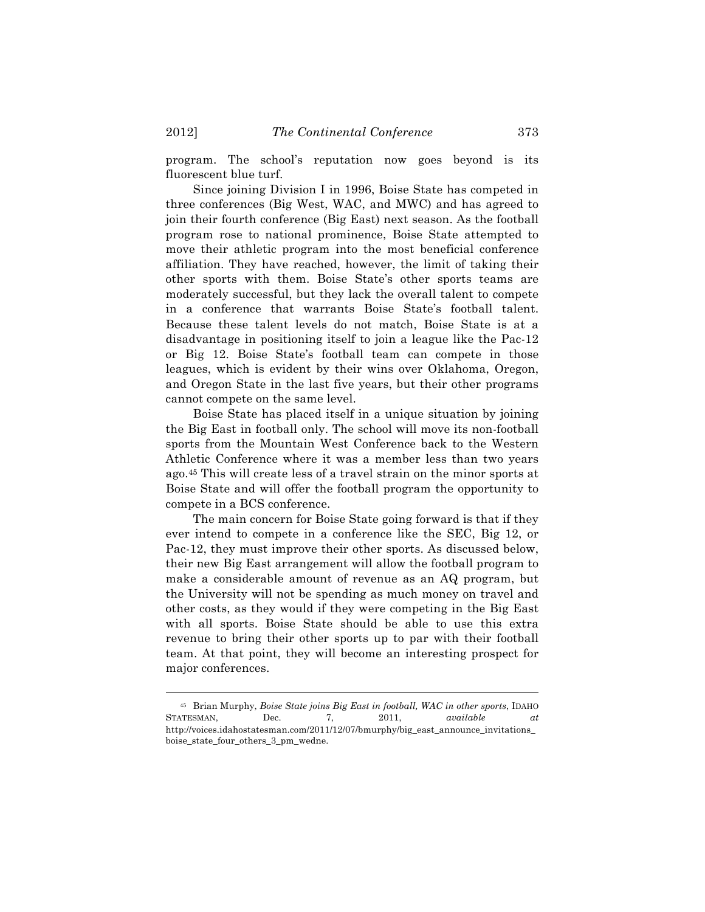program. The school's reputation now goes beyond is its fluorescent blue turf.

Since joining Division I in 1996, Boise State has competed in three conferences (Big West, WAC, and MWC) and has agreed to join their fourth conference (Big East) next season. As the football program rose to national prominence, Boise State attempted to move their athletic program into the most beneficial conference affiliation. They have reached, however, the limit of taking their other sports with them. Boise State's other sports teams are moderately successful, but they lack the overall talent to compete in a conference that warrants Boise State's football talent. Because these talent levels do not match, Boise State is at a disadvantage in positioning itself to join a league like the Pac-12 or Big 12. Boise State's football team can compete in those leagues, which is evident by their wins over Oklahoma, Oregon, and Oregon State in the last five years, but their other programs cannot compete on the same level.

Boise State has placed itself in a unique situation by joining the Big East in football only. The school will move its non-football sports from the Mountain West Conference back to the Western Athletic Conference where it was a member less than two years ago.45 This will create less of a travel strain on the minor sports at Boise State and will offer the football program the opportunity to compete in a BCS conference.

The main concern for Boise State going forward is that if they ever intend to compete in a conference like the SEC, Big 12, or Pac-12, they must improve their other sports. As discussed below, their new Big East arrangement will allow the football program to make a considerable amount of revenue as an AQ program, but the University will not be spending as much money on travel and other costs, as they would if they were competing in the Big East with all sports. Boise State should be able to use this extra revenue to bring their other sports up to par with their football team. At that point, they will become an interesting prospect for major conferences.

<sup>45</sup> Brian Murphy, *Boise State joins Big East in football, WAC in other sports*, IDAHO STATESMAN, Dec. 7, 2011, *available at* http://voices.idahostatesman.com/2011/12/07/bmurphy/big\_east\_announce\_invitations\_ boise\_state\_four\_others\_3\_pm\_wedne.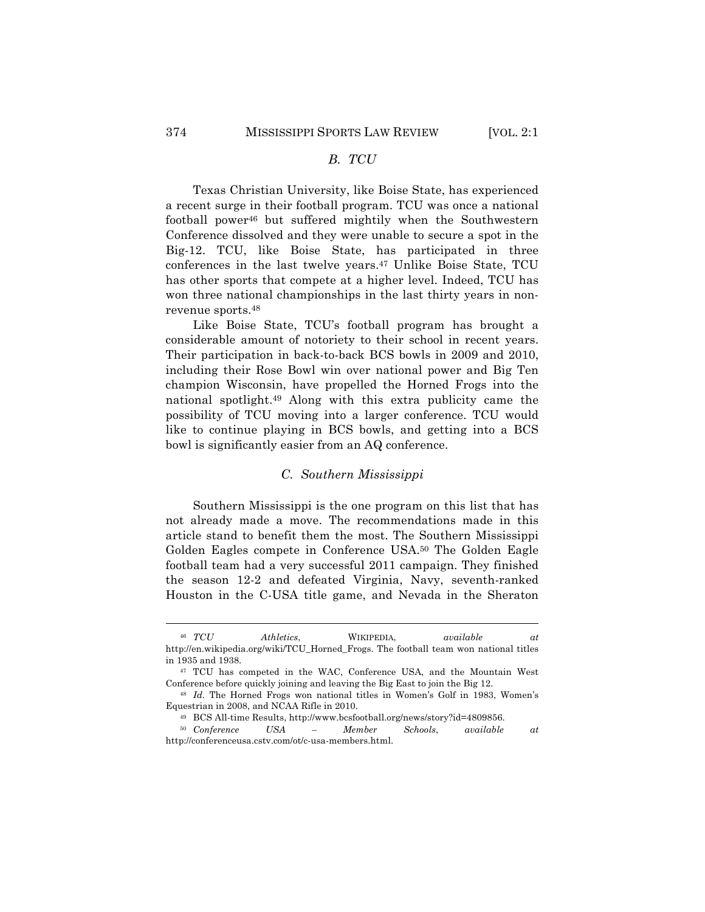### *B. TCU*

Texas Christian University, like Boise State, has experienced a recent surge in their football program. TCU was once a national football power46 but suffered mightily when the Southwestern Conference dissolved and they were unable to secure a spot in the Big-12. TCU, like Boise State, has participated in three conferences in the last twelve years.47 Unlike Boise State, TCU has other sports that compete at a higher level. Indeed, TCU has won three national championships in the last thirty years in nonrevenue sports.48

Like Boise State, TCU's football program has brought a considerable amount of notoriety to their school in recent years. Their participation in back-to-back BCS bowls in 2009 and 2010, including their Rose Bowl win over national power and Big Ten champion Wisconsin, have propelled the Horned Frogs into the national spotlight.49 Along with this extra publicity came the possibility of TCU moving into a larger conference. TCU would like to continue playing in BCS bowls, and getting into a BCS bowl is significantly easier from an AQ conference.

# *C. Southern Mississippi*

Southern Mississippi is the one program on this list that has not already made a move. The recommendations made in this article stand to benefit them the most. The Southern Mississippi Golden Eagles compete in Conference USA.50 The Golden Eagle football team had a very successful 2011 campaign. They finished the season 12-2 and defeated Virginia, Navy, seventh-ranked Houston in the C-USA title game, and Nevada in the Sheraton

<sup>46</sup> *TCU Athletics*, WIKIPEDIA, *available at*  http://en.wikipedia.org/wiki/TCU\_Horned\_Frogs. The football team won national titles in 1935 and 1938.

<sup>&</sup>lt;sup>47</sup> TCU has competed in the WAC, Conference USA, and the Mountain West Conference before quickly joining and leaving the Big East to join the Big 12.

<sup>48</sup> *Id.* The Horned Frogs won national titles in Women's Golf in 1983, Women's Equestrian in 2008, and NCAA Rifle in 2010.

<sup>49</sup> BCS All-time Results, http://www.bcsfootball.org/news/story?id=4809856.

<sup>50</sup> *Conference USA – Member Schools*, *available at* http://conferenceusa.cstv.com/ot/c-usa-members.html.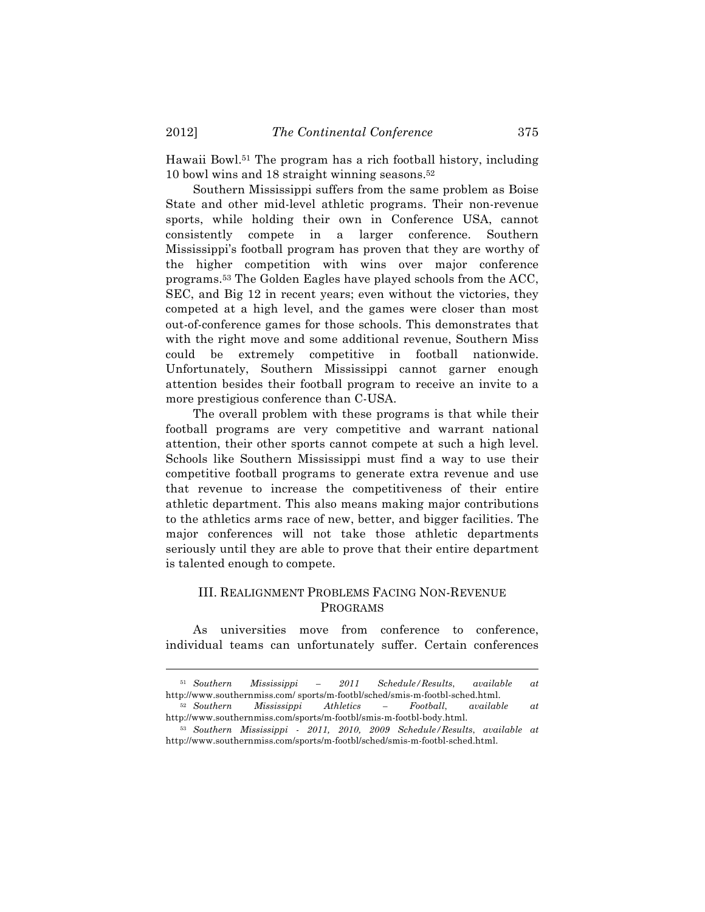Hawaii Bowl.51 The program has a rich football history, including 10 bowl wins and 18 straight winning seasons.52

Southern Mississippi suffers from the same problem as Boise State and other mid-level athletic programs. Their non-revenue sports, while holding their own in Conference USA, cannot consistently compete in a larger conference. Southern Mississippi's football program has proven that they are worthy of the higher competition with wins over major conference programs.53 The Golden Eagles have played schools from the ACC, SEC, and Big 12 in recent years; even without the victories, they competed at a high level, and the games were closer than most out-of-conference games for those schools. This demonstrates that with the right move and some additional revenue, Southern Miss could be extremely competitive in football nationwide. Unfortunately, Southern Mississippi cannot garner enough attention besides their football program to receive an invite to a more prestigious conference than C-USA.

The overall problem with these programs is that while their football programs are very competitive and warrant national attention, their other sports cannot compete at such a high level. Schools like Southern Mississippi must find a way to use their competitive football programs to generate extra revenue and use that revenue to increase the competitiveness of their entire athletic department. This also means making major contributions to the athletics arms race of new, better, and bigger facilities. The major conferences will not take those athletic departments seriously until they are able to prove that their entire department is talented enough to compete.

# III. REALIGNMENT PROBLEMS FACING NON-REVENUE PROGRAMS

As universities move from conference to conference, individual teams can unfortunately suffer. Certain conferences

<sup>51</sup> *Southern Mississippi – 2011 Schedule/Results*, *available at*  http://www.southernmiss.com/ sports/m-footbl/sched/smis-m-footbl-sched.html. <sup>52</sup> *Southern Mississippi Athletics – Football*, *available at*

http://www.southernmiss.com/sports/m-footbl/smis-m-footbl-body.html. <sup>53</sup> *Southern Mississippi - 2011, 2010, 2009 Schedule/Results*, *available at* http://www.southernmiss.com/sports/m-footbl/sched/smis-m-footbl-sched.html.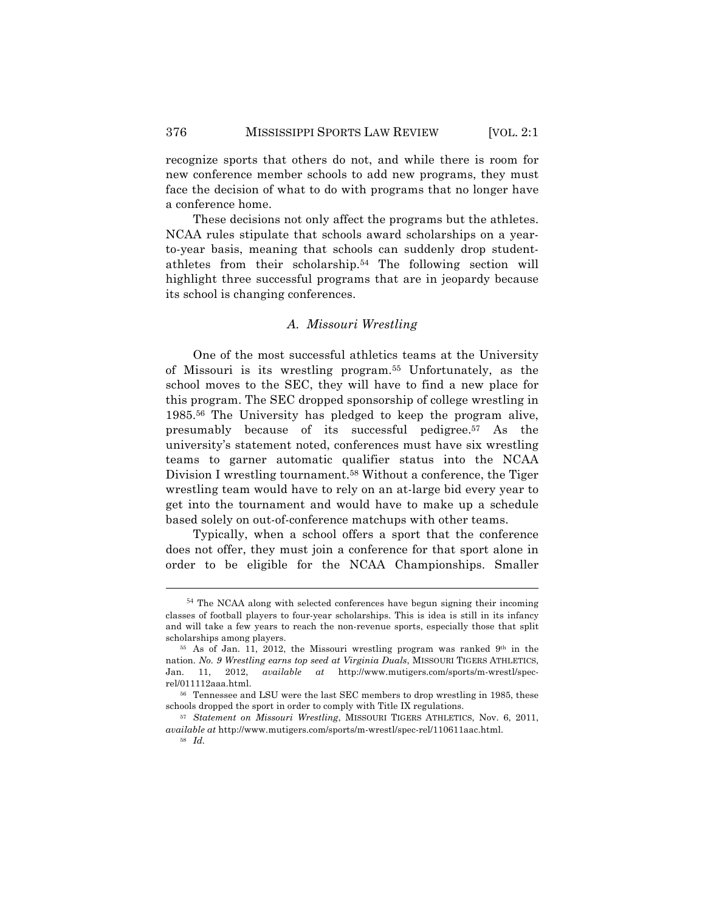recognize sports that others do not, and while there is room for new conference member schools to add new programs, they must face the decision of what to do with programs that no longer have a conference home.

These decisions not only affect the programs but the athletes. NCAA rules stipulate that schools award scholarships on a yearto-year basis, meaning that schools can suddenly drop studentathletes from their scholarship.54 The following section will highlight three successful programs that are in jeopardy because its school is changing conferences.

## *A. Missouri Wrestling*

One of the most successful athletics teams at the University of Missouri is its wrestling program.55 Unfortunately, as the school moves to the SEC, they will have to find a new place for this program. The SEC dropped sponsorship of college wrestling in 1985.56 The University has pledged to keep the program alive, presumably because of its successful pedigree.57 As the university's statement noted, conferences must have six wrestling teams to garner automatic qualifier status into the NCAA Division I wrestling tournament.58 Without a conference, the Tiger wrestling team would have to rely on an at-large bid every year to get into the tournament and would have to make up a schedule based solely on out-of-conference matchups with other teams.

Typically, when a school offers a sport that the conference does not offer, they must join a conference for that sport alone in order to be eligible for the NCAA Championships. Smaller

 <sup>54</sup> The NCAA along with selected conferences have begun signing their incoming classes of football players to four-year scholarships. This is idea is still in its infancy and will take a few years to reach the non-revenue sports, especially those that split scholarships among players.

<sup>&</sup>lt;sup>55</sup> As of Jan. 11, 2012, the Missouri wrestling program was ranked 9<sup>th</sup> in the nation. *No. 9 Wrestling earns top seed at Virginia Duals*, MISSOURI TIGERS ATHLETICS, Jan. 11, 2012, *available at* http://www.mutigers.com/sports/m-wrestl/specrel/011112aaa.html.

<sup>56</sup> Tennessee and LSU were the last SEC members to drop wrestling in 1985, these schools dropped the sport in order to comply with Title IX regulations.

<sup>57</sup> *Statement on Missouri Wrestling*, MISSOURI TIGERS ATHLETICS, Nov. 6, 2011, *available at* http://www.mutigers.com/sports/m-wrestl/spec-rel/110611aac.html.

<sup>58</sup> *Id.*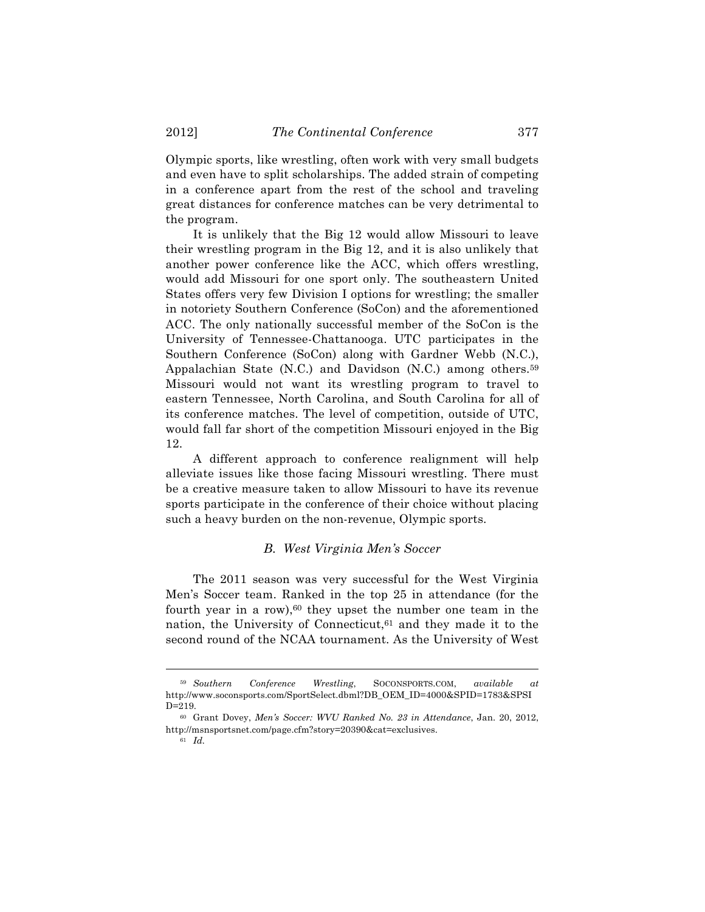Olympic sports, like wrestling, often work with very small budgets and even have to split scholarships. The added strain of competing in a conference apart from the rest of the school and traveling great distances for conference matches can be very detrimental to the program.

It is unlikely that the Big 12 would allow Missouri to leave their wrestling program in the Big 12, and it is also unlikely that another power conference like the ACC, which offers wrestling, would add Missouri for one sport only. The southeastern United States offers very few Division I options for wrestling; the smaller in notoriety Southern Conference (SoCon) and the aforementioned ACC. The only nationally successful member of the SoCon is the University of Tennessee-Chattanooga. UTC participates in the Southern Conference (SoCon) along with Gardner Webb (N.C.), Appalachian State (N.C.) and Davidson (N.C.) among others.59 Missouri would not want its wrestling program to travel to eastern Tennessee, North Carolina, and South Carolina for all of its conference matches. The level of competition, outside of UTC, would fall far short of the competition Missouri enjoyed in the Big 12.

A different approach to conference realignment will help alleviate issues like those facing Missouri wrestling. There must be a creative measure taken to allow Missouri to have its revenue sports participate in the conference of their choice without placing such a heavy burden on the non-revenue, Olympic sports.

# *B. West Virginia Men's Soccer*

The 2011 season was very successful for the West Virginia Men's Soccer team. Ranked in the top 25 in attendance (for the fourth year in a row), $60$  they upset the number one team in the nation, the University of Connecticut,<sup>61</sup> and they made it to the second round of the NCAA tournament. As the University of West

<sup>59</sup> *Southern Conference Wrestling*, SOCONSPORTS.COM, *available at*  http://www.soconsports.com/SportSelect.dbml?DB\_OEM\_ID=4000&SPID=1783&SPSI D=219.

<sup>60</sup> Grant Dovey, *Men's Soccer: WVU Ranked No. 23 in Attendance*, Jan. 20, 2012, http://msnsportsnet.com/page.cfm?story=20390&cat=exclusives.

<sup>61</sup> *Id.*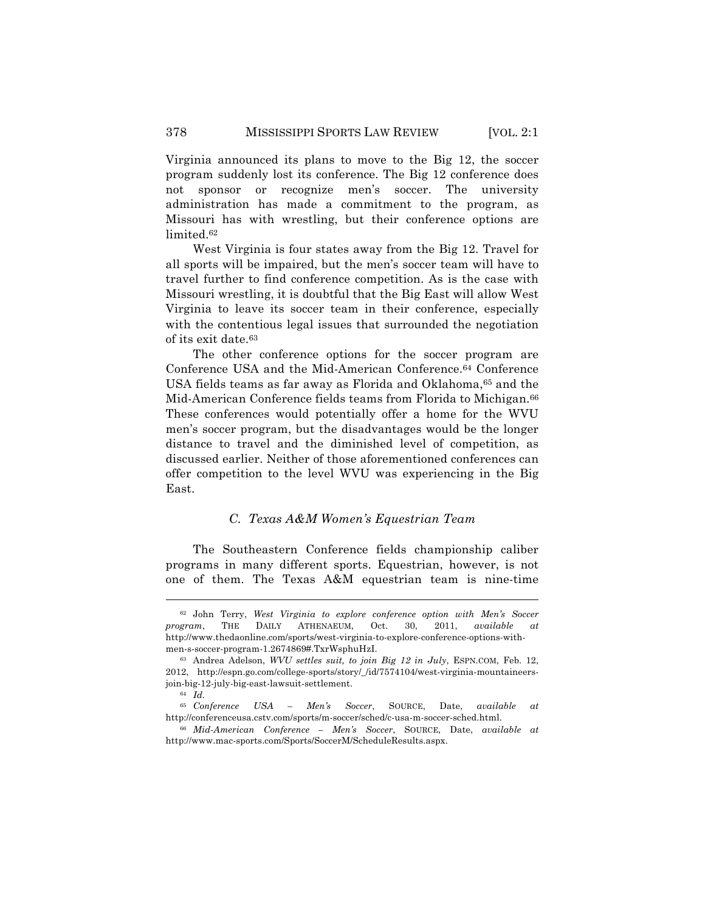Virginia announced its plans to move to the Big 12, the soccer program suddenly lost its conference. The Big 12 conference does not sponsor or recognize men's soccer. The university administration has made a commitment to the program, as Missouri has with wrestling, but their conference options are limited.62

West Virginia is four states away from the Big 12. Travel for all sports will be impaired, but the men's soccer team will have to travel further to find conference competition. As is the case with Missouri wrestling, it is doubtful that the Big East will allow West Virginia to leave its soccer team in their conference, especially with the contentious legal issues that surrounded the negotiation of its exit date.63

The other conference options for the soccer program are Conference USA and the Mid-American Conference.64 Conference USA fields teams as far away as Florida and Oklahoma,  $65$  and the Mid-American Conference fields teams from Florida to Michigan.66 These conferences would potentially offer a home for the WVU men's soccer program, but the disadvantages would be the longer distance to travel and the diminished level of competition, as discussed earlier. Neither of those aforementioned conferences can offer competition to the level WVU was experiencing in the Big East.

### *C. Texas A&M Women's Equestrian Team*

The Southeastern Conference fields championship caliber programs in many different sports. Equestrian, however, is not one of them. The Texas A&M equestrian team is nine-time

<sup>62</sup> John Terry, *West Virginia to explore conference option with Men's Soccer program*, THE DAILY ATHENAEUM, Oct. 30, 2011, *available* http://www.thedaonline.com/sports/west-virginia-to-explore-conference-options-withmen-s-soccer-program-1.2674869#.TxrWsphuHzI.

<sup>63</sup> Andrea Adelson, *WVU settles suit, to join Big 12 in July*, ESPN.COM, Feb. 12, 2012, http://espn.go.com/college-sports/story/\_/id/7574104/west-virginia-mountaineersjoin-big-12-july-big-east-lawsuit-settlement.

<sup>64</sup> *Id.*

<sup>65</sup> *Conference USA – Men's Soccer*, SOURCE, Date, *available at* http://conferenceusa.cstv.com/sports/m-soccer/sched/c-usa-m-soccer-sched.html.

<sup>66</sup> *Mid-American Conference – Men's Soccer*, SOURCE, Date, *available at* http://www.mac-sports.com/Sports/SoccerM/ScheduleResults.aspx.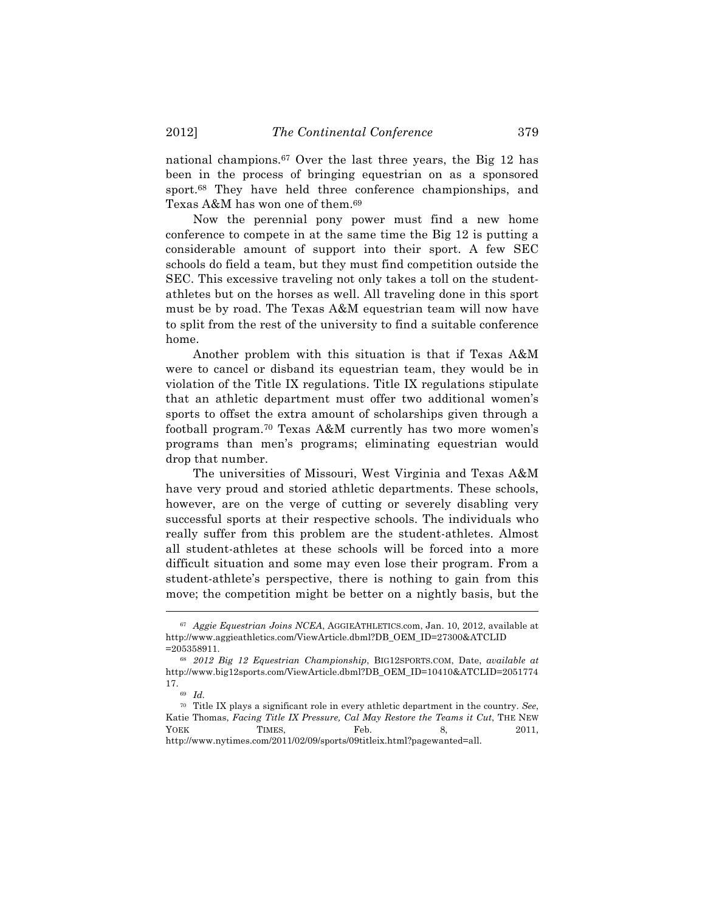national champions.67 Over the last three years, the Big 12 has been in the process of bringing equestrian on as a sponsored sport.68 They have held three conference championships, and Texas A&M has won one of them.69

Now the perennial pony power must find a new home conference to compete in at the same time the Big 12 is putting a considerable amount of support into their sport. A few SEC schools do field a team, but they must find competition outside the SEC. This excessive traveling not only takes a toll on the studentathletes but on the horses as well. All traveling done in this sport must be by road. The Texas A&M equestrian team will now have to split from the rest of the university to find a suitable conference home.

Another problem with this situation is that if Texas A&M were to cancel or disband its equestrian team, they would be in violation of the Title IX regulations. Title IX regulations stipulate that an athletic department must offer two additional women's sports to offset the extra amount of scholarships given through a football program.70 Texas A&M currently has two more women's programs than men's programs; eliminating equestrian would drop that number.

The universities of Missouri, West Virginia and Texas A&M have very proud and storied athletic departments. These schools, however, are on the verge of cutting or severely disabling very successful sports at their respective schools. The individuals who really suffer from this problem are the student-athletes. Almost all student-athletes at these schools will be forced into a more difficult situation and some may even lose their program. From a student-athlete's perspective, there is nothing to gain from this move; the competition might be better on a nightly basis, but the

<sup>67</sup> *Aggie Equestrian Joins NCEA*, AGGIEATHLETICS.com, Jan. 10, 2012, available at http://www.aggieathletics.com/ViewArticle.dbml?DB\_OEM\_ID=27300&ATCLID  $=205358911$ 

<sup>68</sup> *2012 Big 12 Equestrian Championship*, BIG12SPORTS.COM, Date, *available at* http://www.big12sports.com/ViewArticle.dbml?DB\_OEM\_ID=10410&ATCLID=2051774 17.

<sup>69</sup> *Id.*

<sup>70</sup> Title IX plays a significant role in every athletic department in the country. *See*, Katie Thomas, *Facing Title IX Pressure, Cal May Restore the Teams it Cut*, THE NEW YOEK TIMES, Feb. 8, 2011, http://www.nytimes.com/2011/02/09/sports/09titleix.html?pagewanted=all.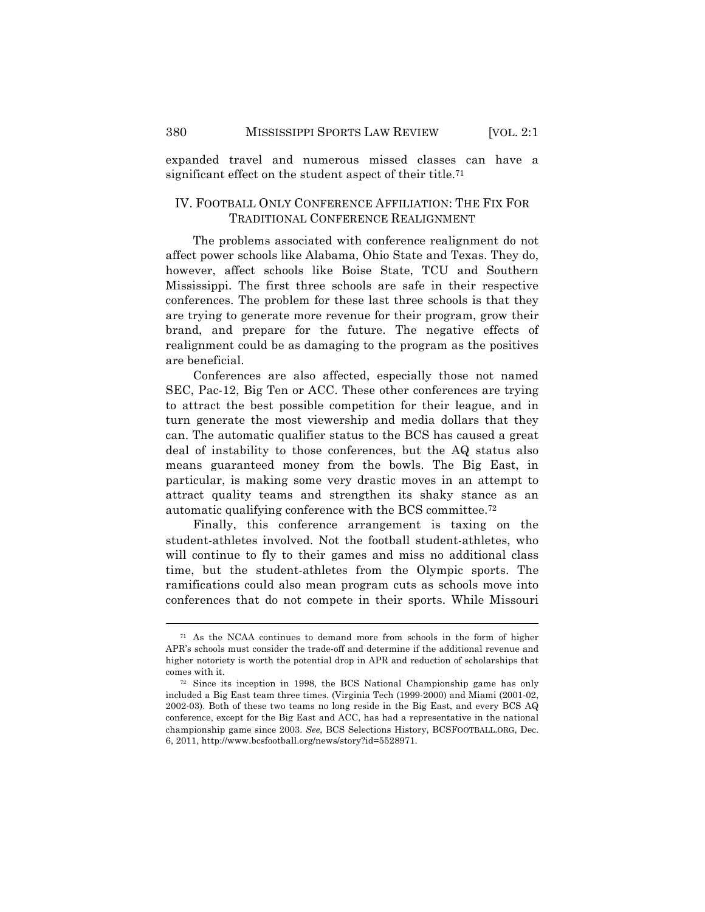expanded travel and numerous missed classes can have a significant effect on the student aspect of their title.<sup>71</sup>

# IV. FOOTBALL ONLY CONFERENCE AFFILIATION: THE FIX FOR TRADITIONAL CONFERENCE REALIGNMENT

The problems associated with conference realignment do not affect power schools like Alabama, Ohio State and Texas. They do, however, affect schools like Boise State, TCU and Southern Mississippi. The first three schools are safe in their respective conferences. The problem for these last three schools is that they are trying to generate more revenue for their program, grow their brand, and prepare for the future. The negative effects of realignment could be as damaging to the program as the positives are beneficial.

Conferences are also affected, especially those not named SEC, Pac-12, Big Ten or ACC. These other conferences are trying to attract the best possible competition for their league, and in turn generate the most viewership and media dollars that they can. The automatic qualifier status to the BCS has caused a great deal of instability to those conferences, but the AQ status also means guaranteed money from the bowls. The Big East, in particular, is making some very drastic moves in an attempt to attract quality teams and strengthen its shaky stance as an automatic qualifying conference with the BCS committee.72

Finally, this conference arrangement is taxing on the student-athletes involved. Not the football student-athletes, who will continue to fly to their games and miss no additional class time, but the student-athletes from the Olympic sports. The ramifications could also mean program cuts as schools move into conferences that do not compete in their sports. While Missouri

<sup>71</sup> As the NCAA continues to demand more from schools in the form of higher APR's schools must consider the trade-off and determine if the additional revenue and higher notoriety is worth the potential drop in APR and reduction of scholarships that comes with it.

<sup>72</sup> Since its inception in 1998, the BCS National Championship game has only included a Big East team three times. (Virginia Tech (1999-2000) and Miami (2001-02, 2002-03). Both of these two teams no long reside in the Big East, and every BCS AQ conference, except for the Big East and ACC, has had a representative in the national championship game since 2003. *See*, BCS Selections History, BCSFOOTBALL.ORG, Dec. 6, 2011, http://www.bcsfootball.org/news/story?id=5528971.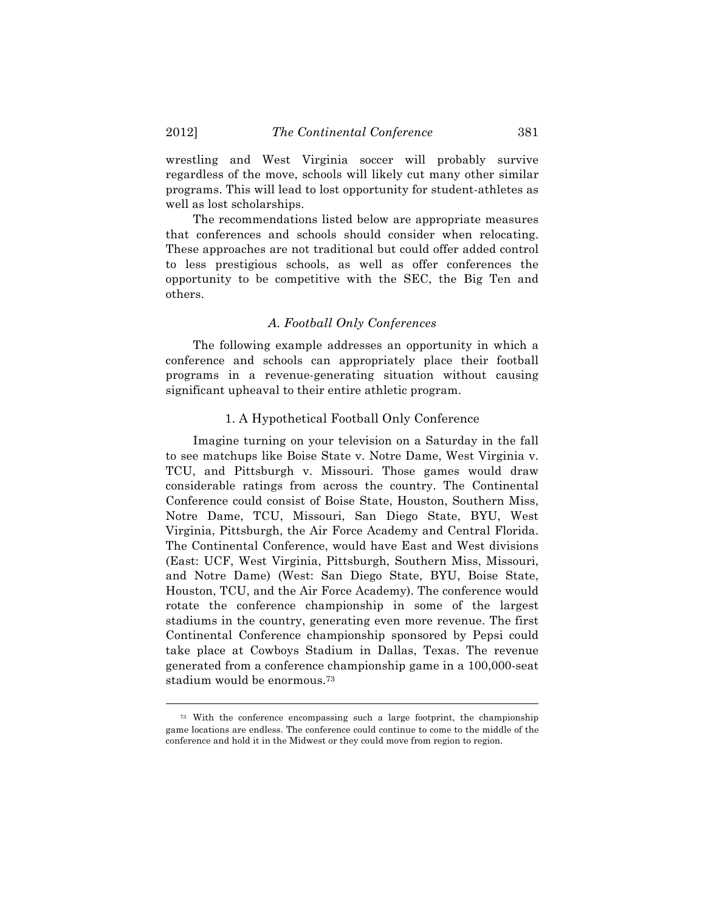wrestling and West Virginia soccer will probably survive regardless of the move, schools will likely cut many other similar programs. This will lead to lost opportunity for student-athletes as well as lost scholarships.

The recommendations listed below are appropriate measures that conferences and schools should consider when relocating. These approaches are not traditional but could offer added control to less prestigious schools, as well as offer conferences the opportunity to be competitive with the SEC, the Big Ten and others.

# *A. Football Only Conferences*

The following example addresses an opportunity in which a conference and schools can appropriately place their football programs in a revenue-generating situation without causing significant upheaval to their entire athletic program.

#### 1. A Hypothetical Football Only Conference

Imagine turning on your television on a Saturday in the fall to see matchups like Boise State v. Notre Dame, West Virginia v. TCU, and Pittsburgh v. Missouri. Those games would draw considerable ratings from across the country. The Continental Conference could consist of Boise State, Houston, Southern Miss, Notre Dame, TCU, Missouri, San Diego State, BYU, West Virginia, Pittsburgh, the Air Force Academy and Central Florida. The Continental Conference, would have East and West divisions (East: UCF, West Virginia, Pittsburgh, Southern Miss, Missouri, and Notre Dame) (West: San Diego State, BYU, Boise State, Houston, TCU, and the Air Force Academy). The conference would rotate the conference championship in some of the largest stadiums in the country, generating even more revenue. The first Continental Conference championship sponsored by Pepsi could take place at Cowboys Stadium in Dallas, Texas. The revenue generated from a conference championship game in a 100,000-seat stadium would be enormous.73

<sup>73</sup> With the conference encompassing such a large footprint, the championship game locations are endless. The conference could continue to come to the middle of the conference and hold it in the Midwest or they could move from region to region.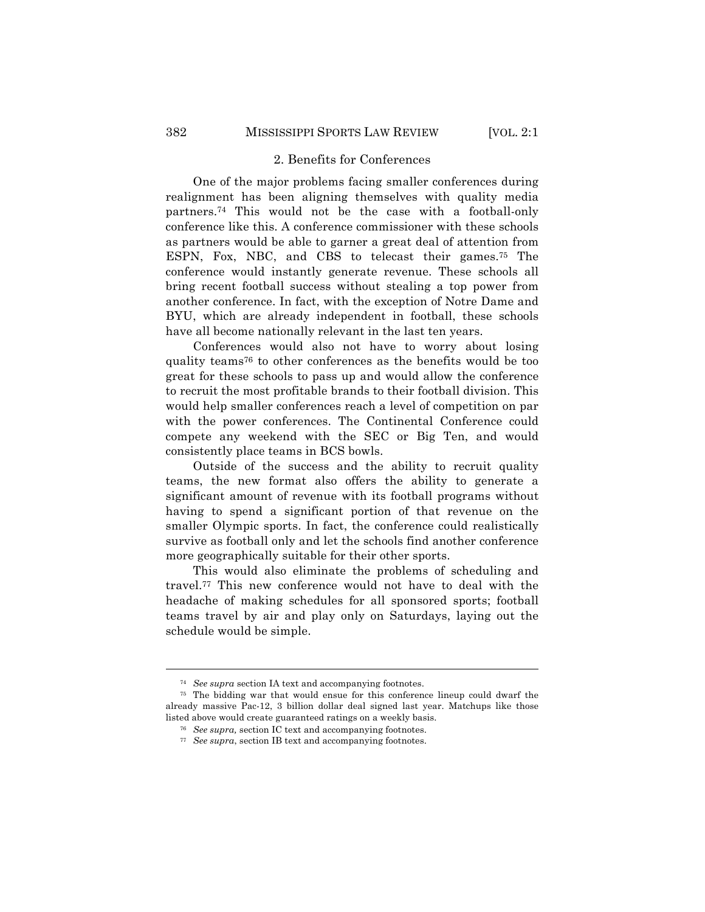## 2. Benefits for Conferences

One of the major problems facing smaller conferences during realignment has been aligning themselves with quality media partners.74 This would not be the case with a football-only conference like this. A conference commissioner with these schools as partners would be able to garner a great deal of attention from ESPN, Fox, NBC, and CBS to telecast their games.75 The conference would instantly generate revenue. These schools all bring recent football success without stealing a top power from another conference. In fact, with the exception of Notre Dame and BYU, which are already independent in football, these schools have all become nationally relevant in the last ten years.

Conferences would also not have to worry about losing quality teams76 to other conferences as the benefits would be too great for these schools to pass up and would allow the conference to recruit the most profitable brands to their football division. This would help smaller conferences reach a level of competition on par with the power conferences. The Continental Conference could compete any weekend with the SEC or Big Ten, and would consistently place teams in BCS bowls.

Outside of the success and the ability to recruit quality teams, the new format also offers the ability to generate a significant amount of revenue with its football programs without having to spend a significant portion of that revenue on the smaller Olympic sports. In fact, the conference could realistically survive as football only and let the schools find another conference more geographically suitable for their other sports.

This would also eliminate the problems of scheduling and travel.77 This new conference would not have to deal with the headache of making schedules for all sponsored sports; football teams travel by air and play only on Saturdays, laying out the schedule would be simple.

<sup>74</sup> *See supra* section IA text and accompanying footnotes.

<sup>75</sup> The bidding war that would ensue for this conference lineup could dwarf the already massive Pac-12, 3 billion dollar deal signed last year. Matchups like those listed above would create guaranteed ratings on a weekly basis.

<sup>76</sup> *See supra,* section IC text and accompanying footnotes.

<sup>77</sup> *See supra*, section IB text and accompanying footnotes.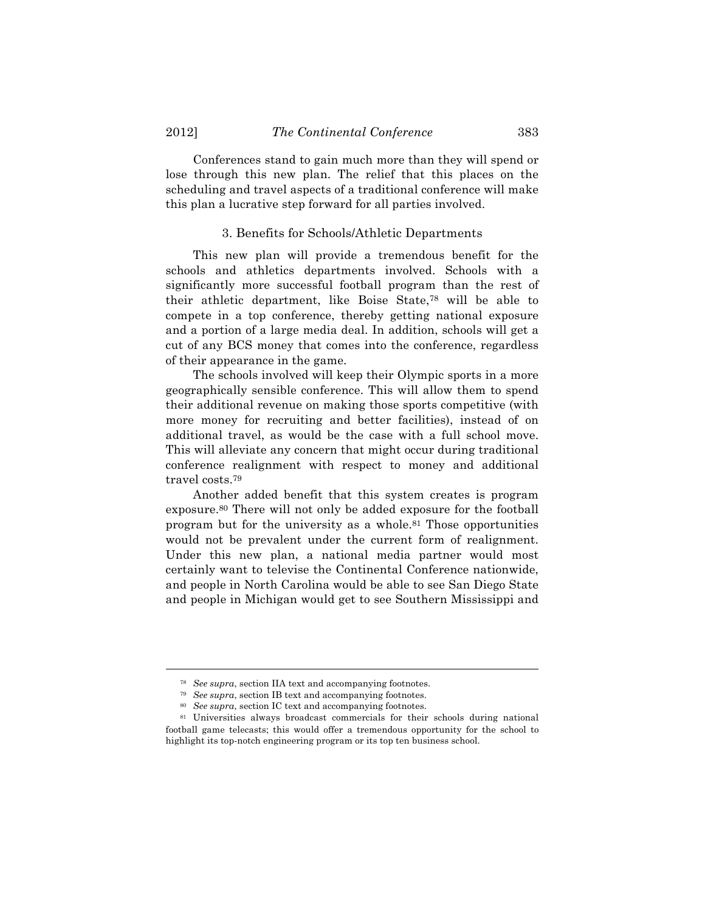$\overline{a}$ 

Conferences stand to gain much more than they will spend or lose through this new plan. The relief that this places on the scheduling and travel aspects of a traditional conference will make this plan a lucrative step forward for all parties involved.

#### 3. Benefits for Schools/Athletic Departments

This new plan will provide a tremendous benefit for the schools and athletics departments involved. Schools with a significantly more successful football program than the rest of their athletic department, like Boise State,78 will be able to compete in a top conference, thereby getting national exposure and a portion of a large media deal. In addition, schools will get a cut of any BCS money that comes into the conference, regardless of their appearance in the game.

The schools involved will keep their Olympic sports in a more geographically sensible conference. This will allow them to spend their additional revenue on making those sports competitive (with more money for recruiting and better facilities), instead of on additional travel, as would be the case with a full school move. This will alleviate any concern that might occur during traditional conference realignment with respect to money and additional travel costs.79

Another added benefit that this system creates is program exposure.80 There will not only be added exposure for the football program but for the university as a whole.81 Those opportunities would not be prevalent under the current form of realignment. Under this new plan, a national media partner would most certainly want to televise the Continental Conference nationwide, and people in North Carolina would be able to see San Diego State and people in Michigan would get to see Southern Mississippi and

<sup>78</sup> *See supra*, section IIA text and accompanying footnotes.

<sup>79</sup> *See supra*, section IB text and accompanying footnotes.

<sup>80</sup> *See supra*, section IC text and accompanying footnotes.

<sup>81</sup> Universities always broadcast commercials for their schools during national football game telecasts; this would offer a tremendous opportunity for the school to highlight its top-notch engineering program or its top ten business school.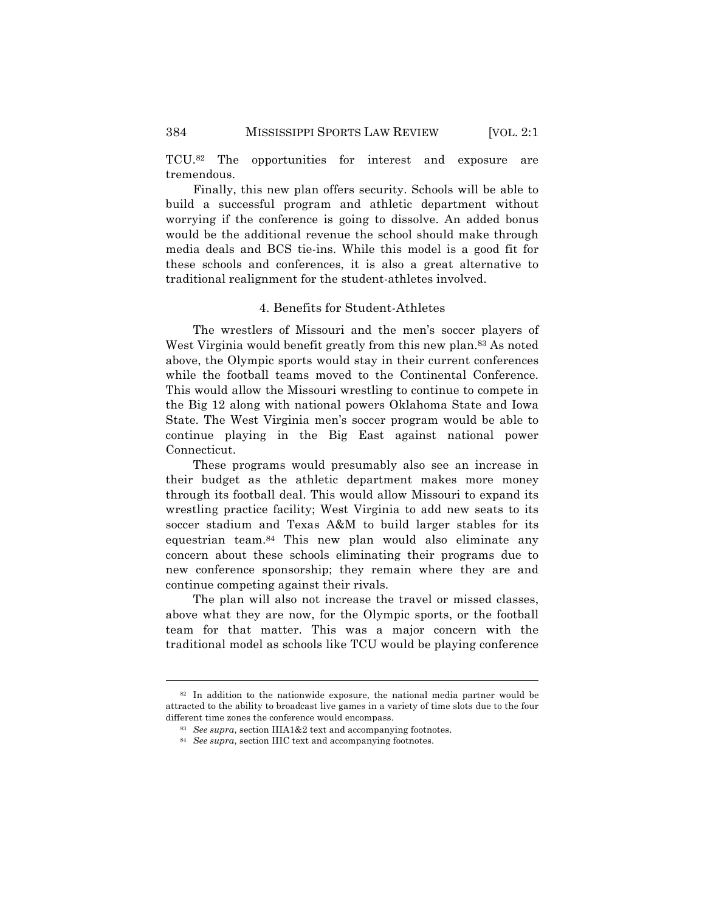TCU.82 The opportunities for interest and exposure are tremendous.

Finally, this new plan offers security. Schools will be able to build a successful program and athletic department without worrying if the conference is going to dissolve. An added bonus would be the additional revenue the school should make through media deals and BCS tie-ins. While this model is a good fit for these schools and conferences, it is also a great alternative to traditional realignment for the student-athletes involved.

#### 4. Benefits for Student-Athletes

The wrestlers of Missouri and the men's soccer players of West Virginia would benefit greatly from this new plan.<sup>83</sup> As noted above, the Olympic sports would stay in their current conferences while the football teams moved to the Continental Conference. This would allow the Missouri wrestling to continue to compete in the Big 12 along with national powers Oklahoma State and Iowa State. The West Virginia men's soccer program would be able to continue playing in the Big East against national power Connecticut.

These programs would presumably also see an increase in their budget as the athletic department makes more money through its football deal. This would allow Missouri to expand its wrestling practice facility; West Virginia to add new seats to its soccer stadium and Texas A&M to build larger stables for its equestrian team.84 This new plan would also eliminate any concern about these schools eliminating their programs due to new conference sponsorship; they remain where they are and continue competing against their rivals.

The plan will also not increase the travel or missed classes, above what they are now, for the Olympic sports, or the football team for that matter. This was a major concern with the traditional model as schools like TCU would be playing conference

<sup>&</sup>lt;sup>82</sup> In addition to the nationwide exposure, the national media partner would be attracted to the ability to broadcast live games in a variety of time slots due to the four different time zones the conference would encompass.

<sup>83</sup> *See supra*, section IIIA1&2 text and accompanying footnotes.

<sup>84</sup> *See supra*, section IIIC text and accompanying footnotes.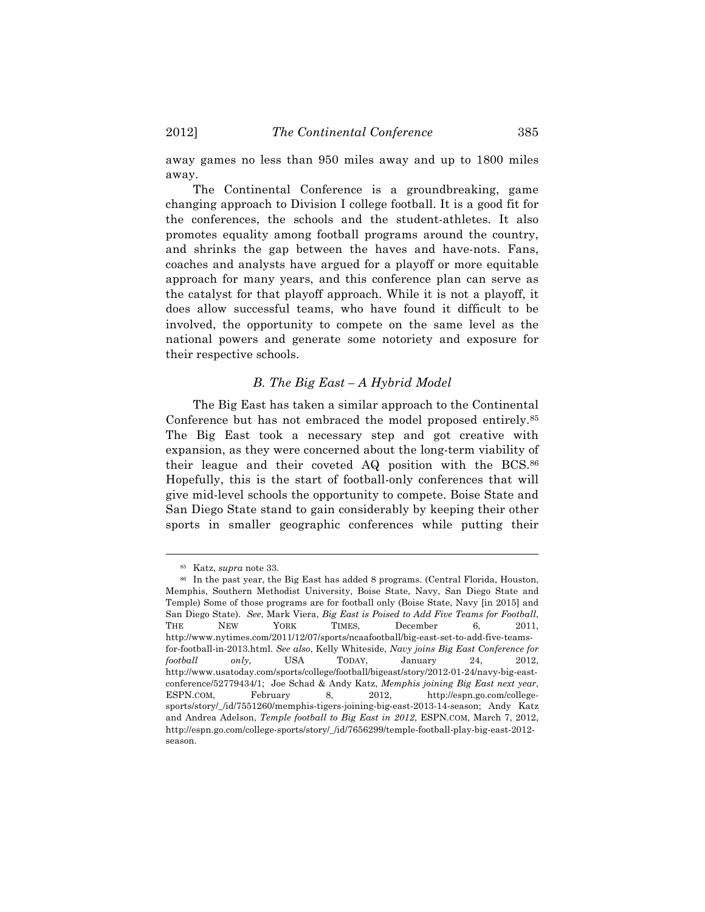away games no less than 950 miles away and up to 1800 miles away.

The Continental Conference is a groundbreaking, game changing approach to Division I college football. It is a good fit for the conferences, the schools and the student-athletes. It also promotes equality among football programs around the country, and shrinks the gap between the haves and have-nots. Fans, coaches and analysts have argued for a playoff or more equitable approach for many years, and this conference plan can serve as the catalyst for that playoff approach. While it is not a playoff, it does allow successful teams, who have found it difficult to be involved, the opportunity to compete on the same level as the national powers and generate some notoriety and exposure for their respective schools.

#### *B. The Big East – A Hybrid Model*

The Big East has taken a similar approach to the Continental Conference but has not embraced the model proposed entirely.<sup>85</sup> The Big East took a necessary step and got creative with expansion, as they were concerned about the long-term viability of their league and their coveted AQ position with the BCS.86 Hopefully, this is the start of football-only conferences that will give mid-level schools the opportunity to compete. Boise State and San Diego State stand to gain considerably by keeping their other sports in smaller geographic conferences while putting their

<sup>85</sup> Katz, *supra* note 33.

<sup>86</sup> In the past year, the Big East has added 8 programs. (Central Florida, Houston, Memphis, Southern Methodist University, Boise State, Navy, San Diego State and Temple) Some of those programs are for football only (Boise State, Navy [in 2015] and San Diego State). *See*, Mark Viera, *Big East is Poised to Add Five Teams for Football*, THE NEW YORK TIMES, December 6, 2011, http://www.nytimes.com/2011/12/07/sports/ncaafootball/big-east-set-to-add-five-teamsfor-football-in-2013.html. *See also*, Kelly Whiteside, *Navy joins Big East Conference for football only*, USA TODAY, January 24, 2012, http://www.usatoday.com/sports/college/football/bigeast/story/2012-01-24/navy-big-eastconference/52779434/1; Joe Schad & Andy Katz, *Memphis joining Big East next year*, ESPN.COM. February 8, 2012, http://espn.go.com/collegesports/story/\_/id/7551260/memphis-tigers-joining-big-east-2013-14-season; Andy Katz and Andrea Adelson, *Temple football to Big East in 2012*, ESPN.COM, March 7, 2012, http://espn.go.com/college-sports/story/\_/id/7656299/temple-football-play-big-east-2012 season.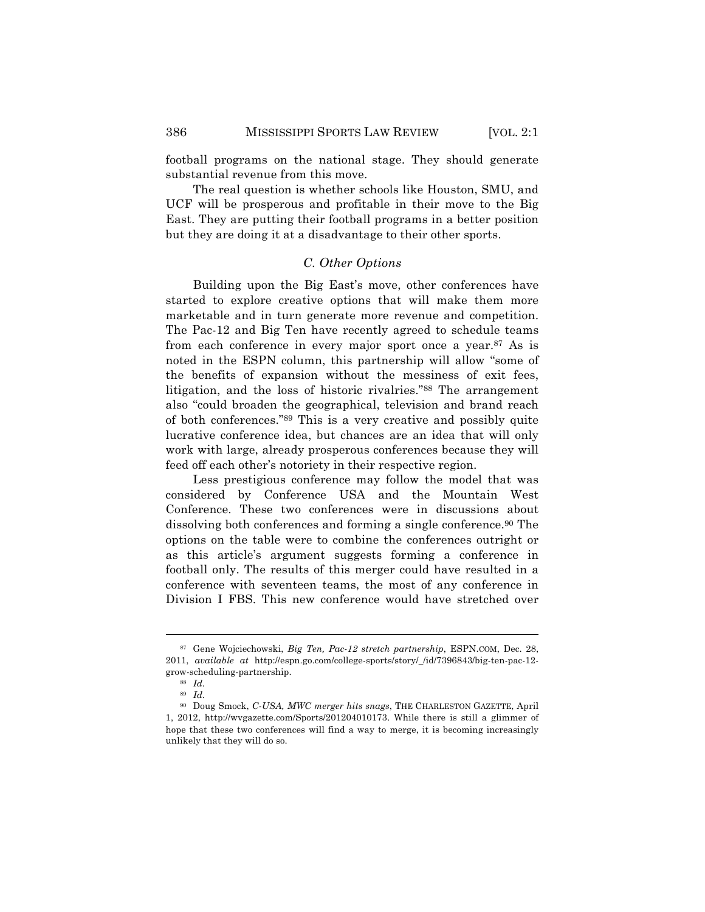football programs on the national stage. They should generate substantial revenue from this move.

The real question is whether schools like Houston, SMU, and UCF will be prosperous and profitable in their move to the Big East. They are putting their football programs in a better position but they are doing it at a disadvantage to their other sports.

### *C. Other Options*

Building upon the Big East's move, other conferences have started to explore creative options that will make them more marketable and in turn generate more revenue and competition. The Pac-12 and Big Ten have recently agreed to schedule teams from each conference in every major sport once a year.87 As is noted in the ESPN column, this partnership will allow "some of the benefits of expansion without the messiness of exit fees, litigation, and the loss of historic rivalries."88 The arrangement also "could broaden the geographical, television and brand reach of both conferences."89 This is a very creative and possibly quite lucrative conference idea, but chances are an idea that will only work with large, already prosperous conferences because they will feed off each other's notoriety in their respective region.

Less prestigious conference may follow the model that was considered by Conference USA and the Mountain West Conference. These two conferences were in discussions about dissolving both conferences and forming a single conference.90 The options on the table were to combine the conferences outright or as this article's argument suggests forming a conference in football only. The results of this merger could have resulted in a conference with seventeen teams, the most of any conference in Division I FBS. This new conference would have stretched over

<sup>87</sup> Gene Wojciechowski, *Big Ten, Pac-12 stretch partnership*, ESPN.COM, Dec. 28, 2011, *available at* http://espn.go.com/college-sports/story/\_/id/7396843/big-ten-pac-12 grow-scheduling-partnership.

<sup>88</sup> *Id.*

<sup>89</sup> *Id.*

<sup>90</sup> Doug Smock, *C-USA, MWC merger hits snags*, THE CHARLESTON GAZETTE, April 1, 2012, http://wvgazette.com/Sports/201204010173. While there is still a glimmer of hope that these two conferences will find a way to merge, it is becoming increasingly unlikely that they will do so.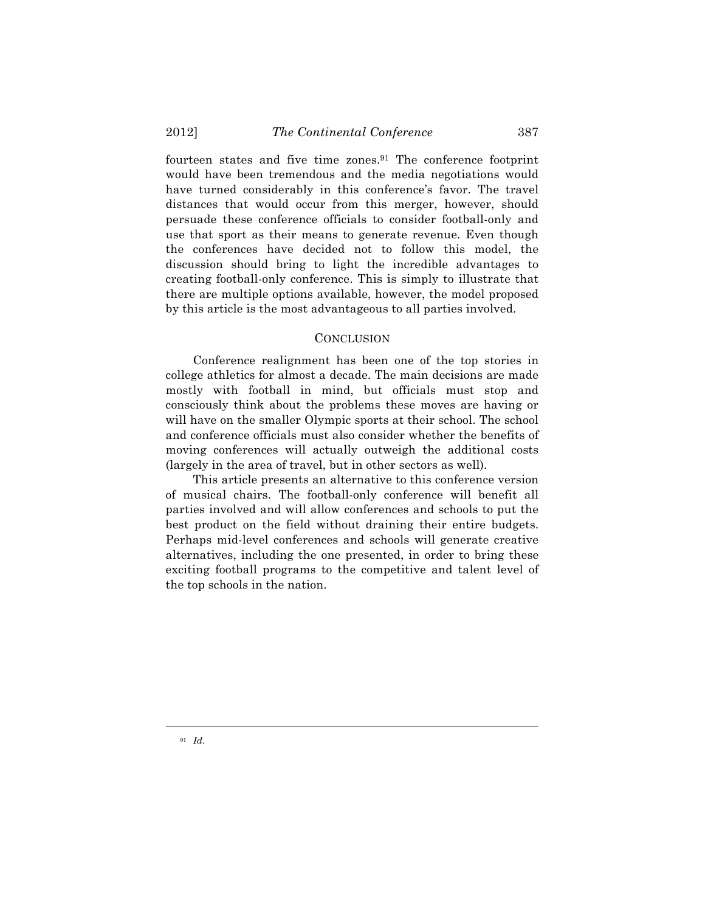fourteen states and five time zones.91 The conference footprint would have been tremendous and the media negotiations would have turned considerably in this conference's favor. The travel distances that would occur from this merger, however, should persuade these conference officials to consider football-only and use that sport as their means to generate revenue. Even though the conferences have decided not to follow this model, the discussion should bring to light the incredible advantages to creating football-only conference. This is simply to illustrate that there are multiple options available, however, the model proposed by this article is the most advantageous to all parties involved.

#### **CONCLUSION**

Conference realignment has been one of the top stories in college athletics for almost a decade. The main decisions are made mostly with football in mind, but officials must stop and consciously think about the problems these moves are having or will have on the smaller Olympic sports at their school. The school and conference officials must also consider whether the benefits of moving conferences will actually outweigh the additional costs (largely in the area of travel, but in other sectors as well).

This article presents an alternative to this conference version of musical chairs. The football-only conference will benefit all parties involved and will allow conferences and schools to put the best product on the field without draining their entire budgets. Perhaps mid-level conferences and schools will generate creative alternatives, including the one presented, in order to bring these exciting football programs to the competitive and talent level of the top schools in the nation.